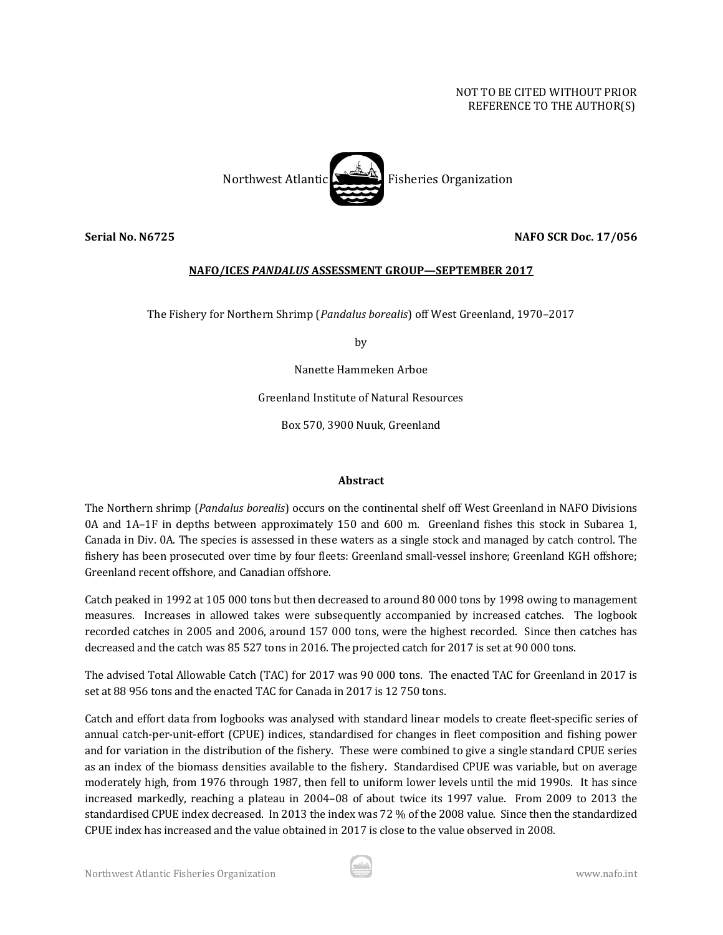# NOT TO BE CITED WITHOUT PRIOR REFERENCE TO THE AUTHOR(S)



**Serial No. N6725 NAFO SCR Doc. 17/056**

## **NAFO/ICES** *PANDALUS* **ASSESSMENT GROUP—SEPTEMBER 2017**

The Fishery for Northern Shrimp (*Pandalus borealis*) off West Greenland, 1970–2017

by

Nanette Hammeken Arboe

Greenland Institute of Natural Resources

Box 570, 3900 Nuuk, Greenland

#### **Abstract**

The Northern shrimp (*Pandalus borealis*) occurs on the continental shelf off West Greenland in NAFO Divisions 0A and 1A–1F in depths between approximately 150 and 600 m. Greenland fishes this stock in Subarea 1, Canada in Div. 0A. The species is assessed in these waters as a single stock and managed by catch control. The fishery has been prosecuted over time by four fleets: Greenland small-vessel inshore; Greenland KGH offshore; Greenland recent offshore, and Canadian offshore.

Catch peaked in 1992 at 105 000 tons but then decreased to around 80 000 tons by 1998 owing to management measures. Increases in allowed takes were subsequently accompanied by increased catches. The logbook recorded catches in 2005 and 2006, around 157 000 tons, were the highest recorded. Since then catches has decreased and the catch was 85 527 tons in 2016. The projected catch for 2017 is set at 90 000 tons.

The advised Total Allowable Catch (TAC) for 2017 was 90 000 tons. The enacted TAC for Greenland in 2017 is set at 88 956 tons and the enacted TAC for Canada in 2017 is 12 750 tons.

Catch and effort data from logbooks was analysed with standard linear models to create fleet-specific series of annual catch-per-unit-effort (CPUE) indices, standardised for changes in fleet composition and fishing power and for variation in the distribution of the fishery. These were combined to give a single standard CPUE series as an index of the biomass densities available to the fishery. Standardised CPUE was variable, but on average moderately high, from 1976 through 1987, then fell to uniform lower levels until the mid 1990s. It has since increased markedly, reaching a plateau in 2004–08 of about twice its 1997 value. From 2009 to 2013 the standardised CPUE index decreased. In 2013 the index was 72 % of the 2008 value. Since then the standardized CPUE index has increased and the value obtained in 2017 is close to the value observed in 2008.

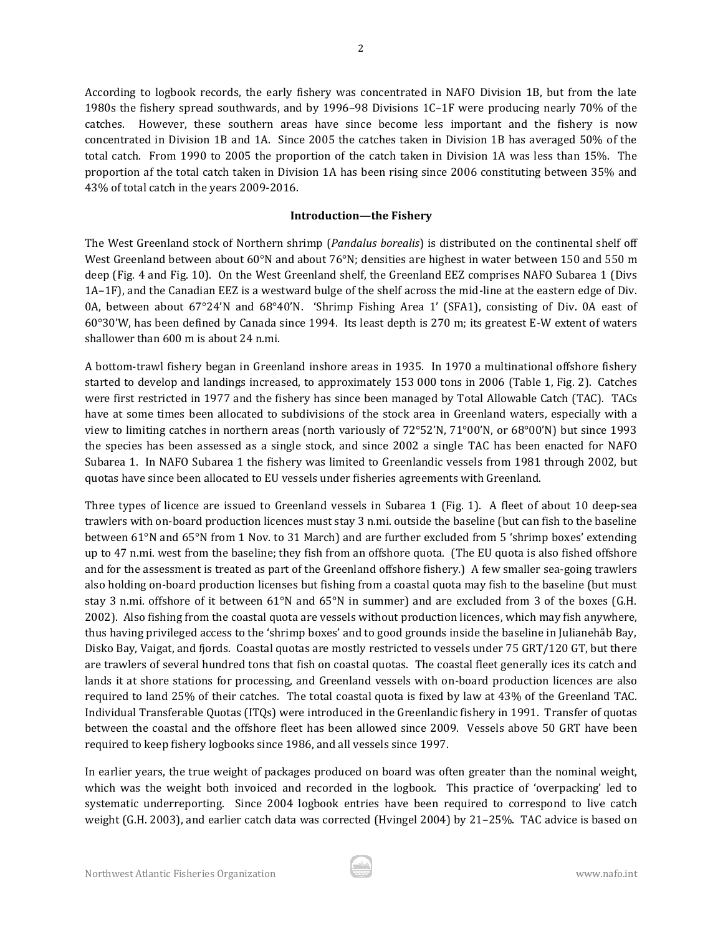According to logbook records, the early fishery was concentrated in NAFO Division 1B, but from the late 1980s the fishery spread southwards, and by 1996–98 Divisions 1C–1F were producing nearly 70% of the catches. However, these southern areas have since become less important and the fishery is now concentrated in Division 1B and 1A. Since 2005 the catches taken in Division 1B has averaged 50% of the total catch. From 1990 to 2005 the proportion of the catch taken in Division 1A was less than 15%. The proportion af the total catch taken in Division 1A has been rising since 2006 constituting between 35% and 43% of total catch in the years 2009-2016.

#### **Introduction—the Fishery**

The West Greenland stock of Northern shrimp (*Pandalus borealis*) is distributed on the continental shelf off West Greenland between about 60°N and about 76°N; densities are highest in water between 150 and 550 m deep (Fig. 4 and Fig. 10). On the West Greenland shelf, the Greenland EEZ comprises NAFO Subarea 1 (Divs 1A–1F), and the Canadian EEZ is a westward bulge of the shelf across the mid-line at the eastern edge of Div. 0A, between about 67°24'N and 68°40'N. 'Shrimp Fishing Area 1' (SFA1), consisting of Div. 0A east of 60°30'W, has been defined by Canada since 1994. Its least depth is 270 m; its greatest E-W extent of waters shallower than 600 m is about 24 n.mi.

A bottom-trawl fishery began in Greenland inshore areas in 1935. In 1970 a multinational offshore fishery started to develop and landings increased, to approximately 153 000 tons in 2006 (Table 1, Fig. 2). Catches were first restricted in 1977 and the fishery has since been managed by Total Allowable Catch (TAC). TACs have at some times been allocated to subdivisions of the stock area in Greenland waters, especially with a view to limiting catches in northern areas (north variously of 72°52'N, 71°00'N, or 68°00'N) but since 1993 the species has been assessed as a single stock, and since 2002 a single TAC has been enacted for NAFO Subarea 1. In NAFO Subarea 1 the fishery was limited to Greenlandic vessels from 1981 through 2002, but quotas have since been allocated to EU vessels under fisheries agreements with Greenland.

Three types of licence are issued to Greenland vessels in Subarea 1 (Fig. 1). A fleet of about 10 deep-sea trawlers with on-board production licences must stay 3 n.mi. outside the baseline (but can fish to the baseline between 61°N and 65°N from 1 Nov. to 31 March) and are further excluded from 5 'shrimp boxes' extending up to 47 n.mi. west from the baseline; they fish from an offshore quota. (The EU quota is also fished offshore and for the assessment is treated as part of the Greenland offshore fishery.) A few smaller sea-going trawlers also holding on-board production licenses but fishing from a coastal quota may fish to the baseline (but must stay 3 n.mi. offshore of it between 61°N and 65°N in summer) and are excluded from 3 of the boxes (G.H. 2002). Also fishing from the coastal quota are vessels without production licences, which may fish anywhere, thus having privileged access to the 'shrimp boxes' and to good grounds inside the baseline in Julianehåb Bay, Disko Bay, Vaigat, and fjords. Coastal quotas are mostly restricted to vessels under 75 GRT/120 GT, but there are trawlers of several hundred tons that fish on coastal quotas. The coastal fleet generally ices its catch and lands it at shore stations for processing, and Greenland vessels with on-board production licences are also required to land 25% of their catches. The total coastal quota is fixed by law at 43% of the Greenland TAC. Individual Transferable Quotas (ITQs) were introduced in the Greenlandic fishery in 1991. Transfer of quotas between the coastal and the offshore fleet has been allowed since 2009. Vessels above 50 GRT have been required to keep fishery logbooks since 1986, and all vessels since 1997.

In earlier years, the true weight of packages produced on board was often greater than the nominal weight, which was the weight both invoiced and recorded in the logbook. This practice of 'overpacking' led to systematic underreporting. Since 2004 logbook entries have been required to correspond to live catch weight (G.H. 2003), and earlier catch data was corrected (Hvingel 2004) by 21–25%. TAC advice is based on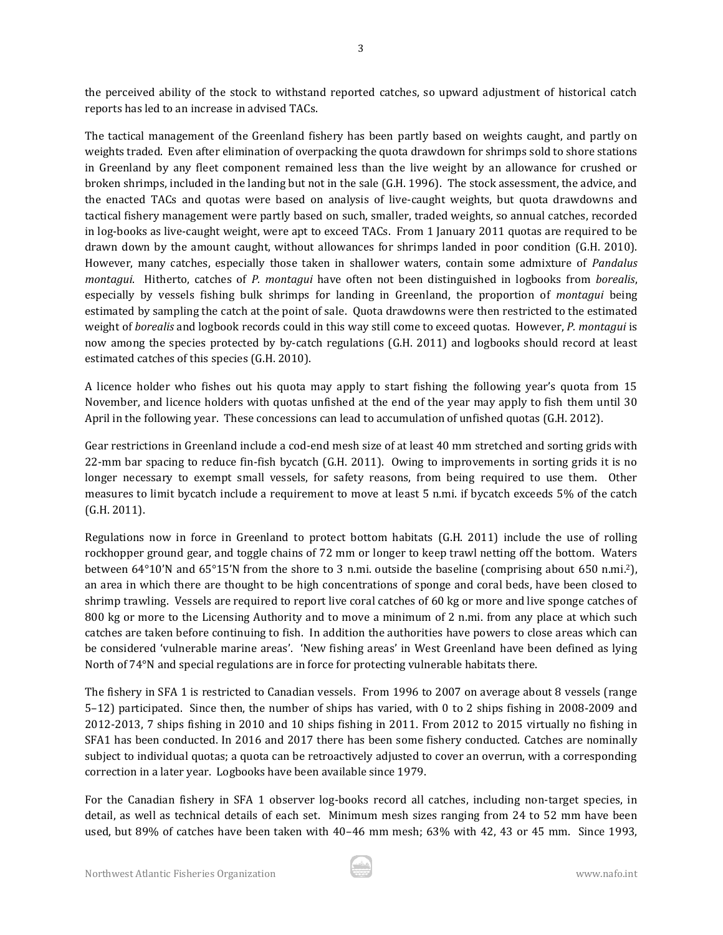the perceived ability of the stock to withstand reported catches, so upward adjustment of historical catch reports has led to an increase in advised TACs.

3

The tactical management of the Greenland fishery has been partly based on weights caught, and partly on weights traded. Even after elimination of overpacking the quota drawdown for shrimps sold to shore stations in Greenland by any fleet component remained less than the live weight by an allowance for crushed or broken shrimps, included in the landing but not in the sale (G.H. 1996). The stock assessment, the advice, and the enacted TACs and quotas were based on analysis of live-caught weights, but quota drawdowns and tactical fishery management were partly based on such, smaller, traded weights, so annual catches, recorded in log-books as live-caught weight, were apt to exceed TACs. From 1 January 2011 quotas are required to be drawn down by the amount caught, without allowances for shrimps landed in poor condition (G.H. 2010). However, many catches, especially those taken in shallower waters, contain some admixture of *Pandalus montagui*. Hitherto, catches of *P. montagui* have often not been distinguished in logbooks from *borealis*, especially by vessels fishing bulk shrimps for landing in Greenland, the proportion of *montagui* being estimated by sampling the catch at the point of sale. Quota drawdowns were then restricted to the estimated weight of *borealis* and logbook records could in this way still come to exceed quotas. However, *P. montagui* is now among the species protected by by-catch regulations (G.H. 2011) and logbooks should record at least estimated catches of this species (G.H. 2010).

A licence holder who fishes out his quota may apply to start fishing the following year's quota from 15 November, and licence holders with quotas unfished at the end of the year may apply to fish them until 30 April in the following year. These concessions can lead to accumulation of unfished quotas (G.H. 2012).

Gear restrictions in Greenland include a cod-end mesh size of at least 40 mm stretched and sorting grids with 22-mm bar spacing to reduce fin-fish bycatch (G.H. 2011). Owing to improvements in sorting grids it is no longer necessary to exempt small vessels, for safety reasons, from being required to use them. Other measures to limit bycatch include a requirement to move at least 5 n.mi. if bycatch exceeds 5% of the catch (G.H. 2011).

Regulations now in force in Greenland to protect bottom habitats (G.H. 2011) include the use of rolling rockhopper ground gear, and toggle chains of 72 mm or longer to keep trawl netting off the bottom. Waters between 64°10'N and 65°15'N from the shore to 3 n.mi. outside the baseline (comprising about 650 n.mi.2), an area in which there are thought to be high concentrations of sponge and coral beds, have been closed to shrimp trawling. Vessels are required to report live coral catches of 60 kg or more and live sponge catches of 800 kg or more to the Licensing Authority and to move a minimum of 2 n.mi. from any place at which such catches are taken before continuing to fish. In addition the authorities have powers to close areas which can be considered 'vulnerable marine areas'. 'New fishing areas' in West Greenland have been defined as lying North of 74°N and special regulations are in force for protecting vulnerable habitats there.

The fishery in SFA 1 is restricted to Canadian vessels. From 1996 to 2007 on average about 8 vessels (range 5–12) participated. Since then, the number of ships has varied, with 0 to 2 ships fishing in 2008-2009 and 2012-2013, 7 ships fishing in 2010 and 10 ships fishing in 2011. From 2012 to 2015 virtually no fishing in SFA1 has been conducted. In 2016 and 2017 there has been some fishery conducted. Catches are nominally subject to individual quotas; a quota can be retroactively adjusted to cover an overrun, with a corresponding correction in a later year. Logbooks have been available since 1979.

For the Canadian fishery in SFA 1 observer log-books record all catches, including non-target species, in detail, as well as technical details of each set. Minimum mesh sizes ranging from 24 to 52 mm have been used, but 89% of catches have been taken with 40–46 mm mesh; 63% with 42, 43 or 45 mm. Since 1993,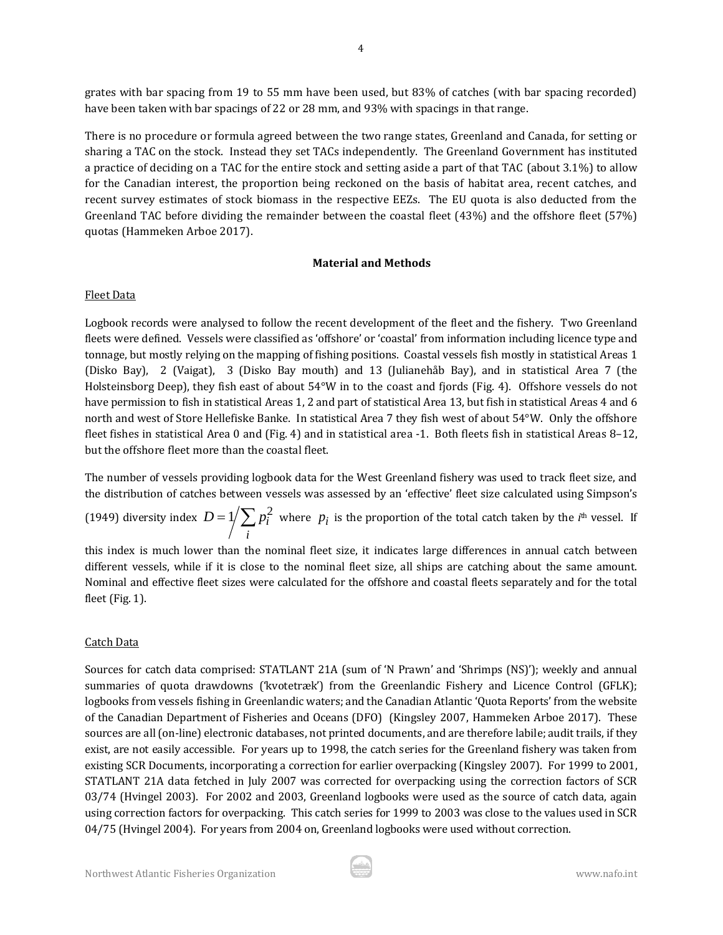grates with bar spacing from 19 to 55 mm have been used, but 83% of catches (with bar spacing recorded) have been taken with bar spacings of 22 or 28 mm, and 93% with spacings in that range.

There is no procedure or formula agreed between the two range states, Greenland and Canada, for setting or sharing a TAC on the stock. Instead they set TACs independently. The Greenland Government has instituted a practice of deciding on a TAC for the entire stock and setting aside a part of that TAC (about 3.1%) to allow for the Canadian interest, the proportion being reckoned on the basis of habitat area, recent catches, and recent survey estimates of stock biomass in the respective EEZs. The EU quota is also deducted from the Greenland TAC before dividing the remainder between the coastal fleet (43%) and the offshore fleet (57%) quotas (Hammeken Arboe 2017).

# **Material and Methods**

# Fleet Data

Logbook records were analysed to follow the recent development of the fleet and the fishery. Two Greenland fleets were defined. Vessels were classified as 'offshore' or 'coastal' from information including licence type and tonnage, but mostly relying on the mapping of fishing positions. Coastal vessels fish mostly in statistical Areas 1 (Disko Bay), 2 (Vaigat), 3 (Disko Bay mouth) and 13 (Julianehåb Bay), and in statistical Area 7 (the Holsteinsborg Deep), they fish east of about 54°W in to the coast and fjords (Fig. 4). Offshore vessels do not have permission to fish in statistical Areas 1, 2 and part of statistical Area 13, but fish in statistical Areas 4 and 6 north and west of Store Hellefiske Banke. In statistical Area 7 they fish west of about 54°W. Only the offshore fleet fishes in statistical Area 0 and (Fig. 4) and in statistical area -1. Both fleets fish in statistical Areas 8–12, but the offshore fleet more than the coastal fleet.

The number of vessels providing logbook data for the West Greenland fishery was used to track fleet size, and the distribution of catches between vessels was assessed by an 'effective' fleet size calculated using Simpson's

(1949) diversity index  $\mathit{D} = 1/\sum p_i^2$ *i*  $D = 1 / \sum p_i^2$  where  $p_i$  is the proportion of the total catch taken by the *i*<sup>th</sup> vessel. If

this index is much lower than the nominal fleet size, it indicates large differences in annual catch between different vessels, while if it is close to the nominal fleet size, all ships are catching about the same amount. Nominal and effective fleet sizes were calculated for the offshore and coastal fleets separately and for the total fleet (Fig. 1).

# Catch Data

Sources for catch data comprised: STATLANT 21A (sum of 'N Prawn' and 'Shrimps (NS)'); weekly and annual summaries of quota drawdowns ('kvotetræk') from the Greenlandic Fishery and Licence Control (GFLK); logbooks from vessels fishing in Greenlandic waters; and the Canadian Atlantic 'Quota Reports' from the website of the Canadian Department of Fisheries and Oceans (DFO) (Kingsley 2007, Hammeken Arboe 2017). These sources are all (on-line) electronic databases, not printed documents, and are therefore labile; audit trails, if they exist, are not easily accessible. For years up to 1998, the catch series for the Greenland fishery was taken from existing SCR Documents, incorporating a correction for earlier overpacking (Kingsley 2007). For 1999 to 2001, STATLANT 21A data fetched in July 2007 was corrected for overpacking using the correction factors of SCR 03/74 (Hvingel 2003). For 2002 and 2003, Greenland logbooks were used as the source of catch data, again using correction factors for overpacking. This catch series for 1999 to 2003 was close to the values used in SCR 04/75 (Hvingel 2004). For years from 2004 on, Greenland logbooks were used without correction.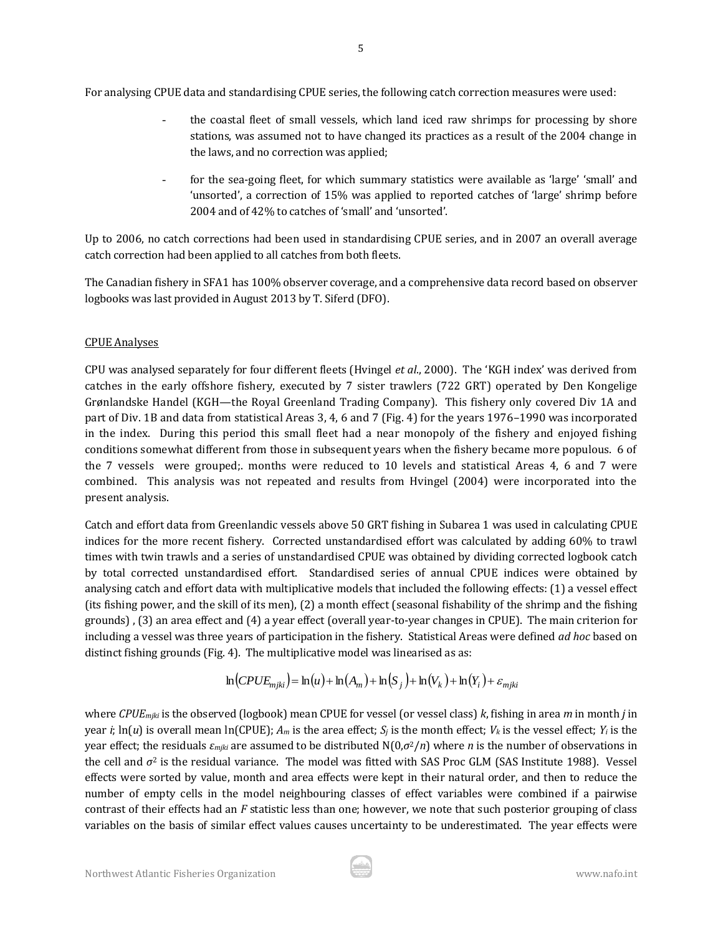For analysing CPUE data and standardising CPUE series, the following catch correction measures were used:

- the coastal fleet of small vessels, which land iced raw shrimps for processing by shore stations, was assumed not to have changed its practices as a result of the 2004 change in the laws, and no correction was applied;
- for the sea-going fleet, for which summary statistics were available as 'large' 'small' and 'unsorted', a correction of 15% was applied to reported catches of 'large' shrimp before 2004 and of 42% to catches of 'small' and 'unsorted'.

Up to 2006, no catch corrections had been used in standardising CPUE series, and in 2007 an overall average catch correction had been applied to all catches from both fleets.

The Canadian fishery in SFA1 has 100% observer coverage, and a comprehensive data record based on observer logbooks was last provided in August 2013 by T. Siferd (DFO).

# CPUE Analyses

CPU was analysed separately for four different fleets (Hvingel *et al*., 2000). The 'KGH index' was derived from catches in the early offshore fishery, executed by 7 sister trawlers (722 GRT) operated by Den Kongelige Grønlandske Handel (KGH—the Royal Greenland Trading Company). This fishery only covered Div 1A and part of Div. 1B and data from statistical Areas 3, 4, 6 and 7 (Fig. 4) for the years 1976–1990 was incorporated in the index. During this period this small fleet had a near monopoly of the fishery and enjoyed fishing conditions somewhat different from those in subsequent years when the fishery became more populous. 6 of the 7 vessels were grouped;. months were reduced to 10 levels and statistical Areas 4, 6 and 7 were combined. This analysis was not repeated and results from Hvingel (2004) were incorporated into the present analysis.

Catch and effort data from Greenlandic vessels above 50 GRT fishing in Subarea 1 was used in calculating CPUE indices for the more recent fishery. Corrected unstandardised effort was calculated by adding 60% to trawl times with twin trawls and a series of unstandardised CPUE was obtained by dividing corrected logbook catch by total corrected unstandardised effort. Standardised series of annual CPUE indices were obtained by analysing catch and effort data with multiplicative models that included the following effects: (1) a vessel effect (its fishing power, and the skill of its men), (2) a month effect (seasonal fishability of the shrimp and the fishing grounds) , (3) an area effect and (4) a year effect (overall year-to-year changes in CPUE). The main criterion for including a vessel was three years of participation in the fishery. Statistical Areas were defined *ad hoc* based on distinct fishing grounds (Fig. 4). The multiplicative model was linearised as as:

$$
\ln(CPUE_{mjki}) = \ln(u) + \ln(A_m) + \ln(S_j) + \ln(V_k) + \ln(Y_i) + \varepsilon_{mjki}
$$

where *CPUEmjki* is the observed (logbook) mean CPUE for vessel (or vessel class) *k*, fishing in area *m* in month *j* in year *i*;  $\ln(u)$  is overall mean  $\ln(\text{CPUE})$ ;  $A_m$  is the area effect;  $S_i$  is the month effect;  $V_k$  is the vessel effect;  $Y_i$  is the year effect; the residuals  $\varepsilon_{mjki}$  are assumed to be distributed  $N(0,\sigma^2/n)$  where *n* is the number of observations in the cell and *σ*<sup>2</sup> is the residual variance. The model was fitted with SAS Proc GLM (SAS Institute 1988). Vessel effects were sorted by value, month and area effects were kept in their natural order, and then to reduce the number of empty cells in the model neighbouring classes of effect variables were combined if a pairwise contrast of their effects had an *F* statistic less than one; however, we note that such posterior grouping of class variables on the basis of similar effect values causes uncertainty to be underestimated. The year effects were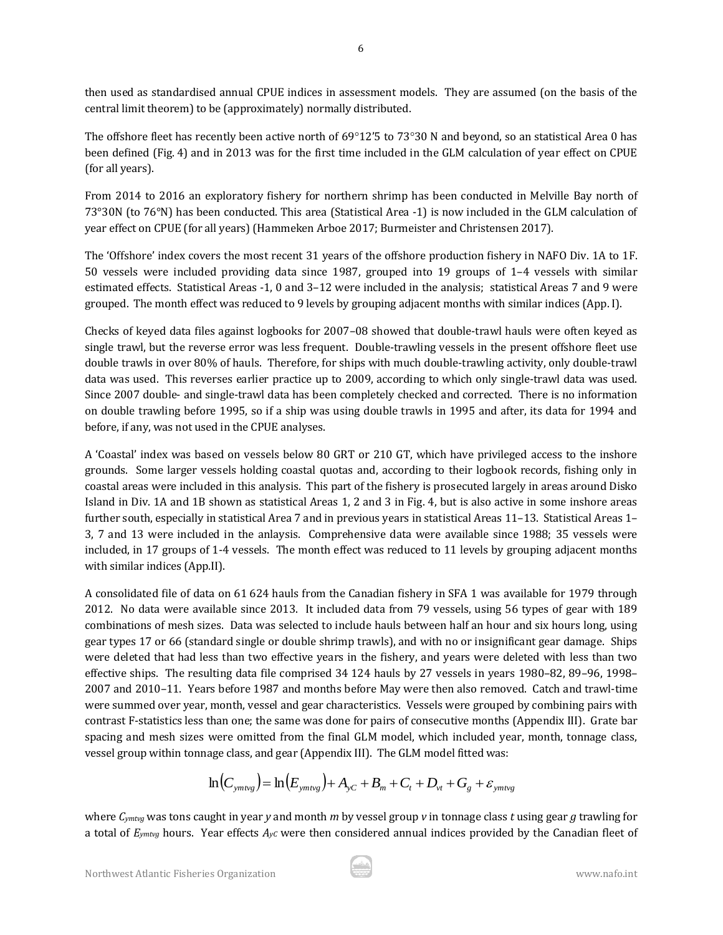then used as standardised annual CPUE indices in assessment models. They are assumed (on the basis of the central limit theorem) to be (approximately) normally distributed.

The offshore fleet has recently been active north of  $69^{\circ}12'5$  to 73°30 N and beyond, so an statistical Area 0 has been defined (Fig. 4) and in 2013 was for the first time included in the GLM calculation of year effect on CPUE (for all years).

From 2014 to 2016 an exploratory fishery for northern shrimp has been conducted in Melville Bay north of 73°30N (to 76°N) has been conducted. This area (Statistical Area -1) is now included in the GLM calculation of year effect on CPUE (for all years) (Hammeken Arboe 2017; Burmeister and Christensen 2017).

The 'Offshore' index covers the most recent 31 years of the offshore production fishery in NAFO Div. 1A to 1F. 50 vessels were included providing data since 1987, grouped into 19 groups of 1–4 vessels with similar estimated effects. Statistical Areas -1, 0 and 3–12 were included in the analysis; statistical Areas 7 and 9 were grouped. The month effect was reduced to 9 levels by grouping adjacent months with similar indices (App. I).

Checks of keyed data files against logbooks for 2007–08 showed that double-trawl hauls were often keyed as single trawl, but the reverse error was less frequent. Double-trawling vessels in the present offshore fleet use double trawls in over 80% of hauls. Therefore, for ships with much double-trawling activity, only double-trawl data was used. This reverses earlier practice up to 2009, according to which only single-trawl data was used. Since 2007 double- and single-trawl data has been completely checked and corrected. There is no information on double trawling before 1995, so if a ship was using double trawls in 1995 and after, its data for 1994 and before, if any, was not used in the CPUE analyses.

A 'Coastal' index was based on vessels below 80 GRT or 210 GT, which have privileged access to the inshore grounds. Some larger vessels holding coastal quotas and, according to their logbook records, fishing only in coastal areas were included in this analysis. This part of the fishery is prosecuted largely in areas around Disko Island in Div. 1A and 1B shown as statistical Areas 1, 2 and 3 in Fig. 4, but is also active in some inshore areas further south, especially in statistical Area 7 and in previous years in statistical Areas 11–13. Statistical Areas 1– 3, 7 and 13 were included in the anlaysis. Comprehensive data were available since 1988; 35 vessels were included, in 17 groups of 1-4 vessels. The month effect was reduced to 11 levels by grouping adjacent months with similar indices (App.II).

A consolidated file of data on 61 624 hauls from the Canadian fishery in SFA 1 was available for 1979 through 2012. No data were available since 2013. It included data from 79 vessels, using 56 types of gear with 189 combinations of mesh sizes. Data was selected to include hauls between half an hour and six hours long, using gear types 17 or 66 (standard single or double shrimp trawls), and with no or insignificant gear damage. Ships were deleted that had less than two effective years in the fishery, and years were deleted with less than two effective ships. The resulting data file comprised 34 124 hauls by 27 vessels in years 1980–82, 89–96, 1998– 2007 and 2010–11. Years before 1987 and months before May were then also removed. Catch and trawl-time were summed over year, month, vessel and gear characteristics. Vessels were grouped by combining pairs with contrast F-statistics less than one; the same was done for pairs of consecutive months (Appendix III). Grate bar spacing and mesh sizes were omitted from the final GLM model, which included year, month, tonnage class, vessel group within tonnage class, and gear (Appendix III). The GLM model fitted was:

$$
\ln\left(C_{\text{ymtvg}}\right) = \ln\left(E_{\text{ymtvg}}\right) + A_{\text{yC}} + B_m + C_t + D_{\text{vt}} + G_{\text{g}} + \varepsilon_{\text{ymtvg}}
$$

where *Cymtvg* was tons caught in year *y* and month *m* by vessel group *v* in tonnage class *t* using gear *g* trawling for a total of *Eymtvg* hours. Year effects *AyC* were then considered annual indices provided by the Canadian fleet of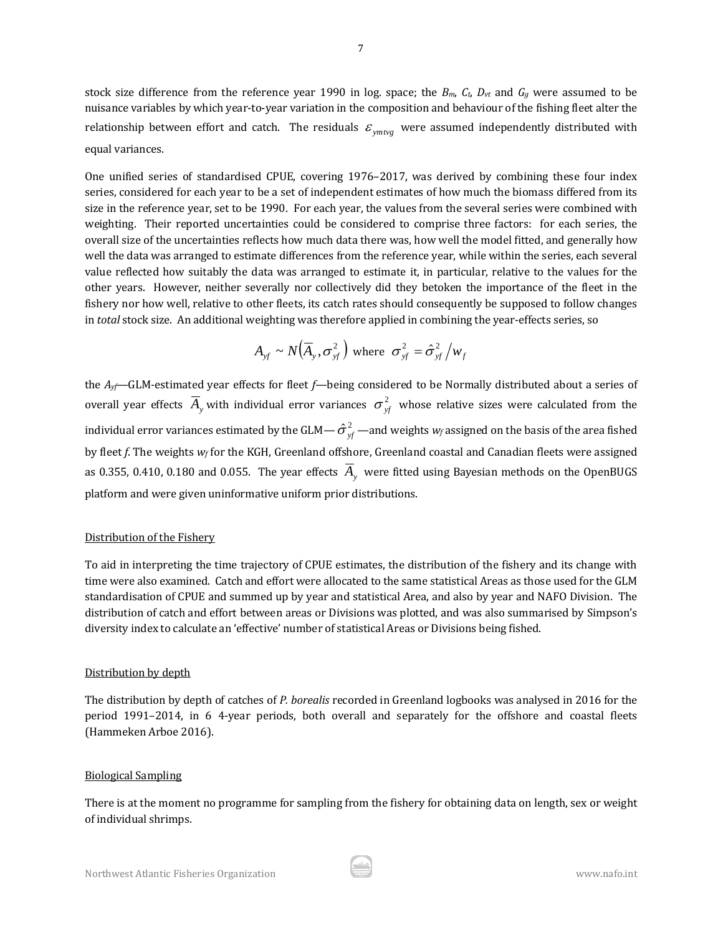stock size difference from the reference year 1990 in log. space; the  $B_m$ ,  $C_t$ ,  $D_{vt}$  and  $G_g$  were assumed to be nuisance variables by which year-to-year variation in the composition and behaviour of the fishing fleet alter the relationship between effort and catch. The residuals  $\varepsilon_{\rm ym{\mu}g}$  were assumed independently distributed with equal variances.

One unified series of standardised CPUE, covering 1976–2017, was derived by combining these four index series, considered for each year to be a set of independent estimates of how much the biomass differed from its size in the reference year, set to be 1990. For each year, the values from the several series were combined with weighting. Their reported uncertainties could be considered to comprise three factors: for each series, the overall size of the uncertainties reflects how much data there was, how well the model fitted, and generally how well the data was arranged to estimate differences from the reference year, while within the series, each several value reflected how suitably the data was arranged to estimate it, in particular, relative to the values for the other years. However, neither severally nor collectively did they betoken the importance of the fleet in the fishery nor how well, relative to other fleets, its catch rates should consequently be supposed to follow changes in *total* stock size. An additional weighting was therefore applied in combining the year-effects series, so

$$
A_{\rm yf} \sim N(\overline{A}_{\rm y}, \sigma_{\rm yf}^2)
$$
 where  $\sigma_{\rm yf}^2 = \hat{\sigma}_{\rm yf}^2/w_f$ 

the *Ayf*—GLM-estimated year effects for fleet *f*—being considered to be Normally distributed about a series of overall year effects  $\overline{A}_y$  with individual error variances  $\sigma_{\rm rf}^2$  whose relative sizes were calculated from the individual error variances estimated by the GLM—  $\hat{\sigma}_{\it{vf}}^{\it{2}}$  —and weights  $w_{\it{f}}$  assigned on the basis of the area fished by fleet *f*. The weights *w<sup>f</sup>* for the KGH, Greenland offshore, Greenland coastal and Canadian fleets were assigned as 0.355, 0.410, 0.180 and 0.055. The year effects *Ay* were fitted using Bayesian methods on the OpenBUGS platform and were given uninformative uniform prior distributions.

#### Distribution of the Fishery

To aid in interpreting the time trajectory of CPUE estimates, the distribution of the fishery and its change with time were also examined. Catch and effort were allocated to the same statistical Areas as those used for the GLM standardisation of CPUE and summed up by year and statistical Area, and also by year and NAFO Division. The distribution of catch and effort between areas or Divisions was plotted, and was also summarised by Simpson's diversity index to calculate an 'effective' number of statistical Areas or Divisions being fished.

#### Distribution by depth

The distribution by depth of catches of *P. borealis* recorded in Greenland logbooks was analysed in 2016 for the period 1991–2014, in 6 4-year periods, both overall and separately for the offshore and coastal fleets (Hammeken Arboe 2016).

#### Biological Sampling

There is at the moment no programme for sampling from the fishery for obtaining data on length, sex or weight of individual shrimps.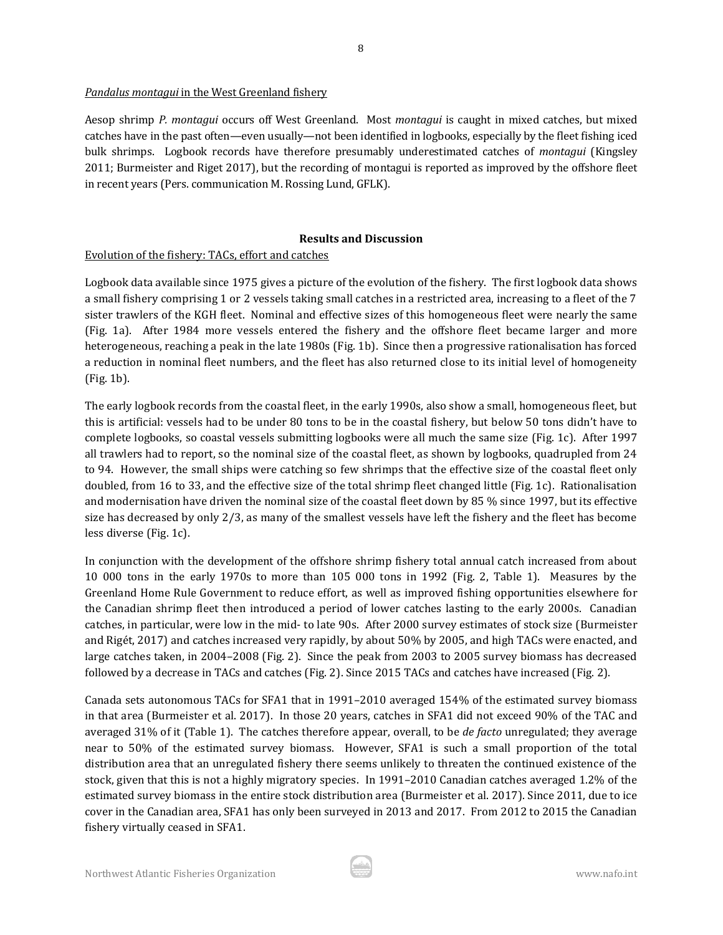#### *Pandalus montagui* in the West Greenland fishery

Aesop shrimp *P. montagui* occurs off West Greenland. Most *montagui* is caught in mixed catches, but mixed catches have in the past often—even usually—not been identified in logbooks, especially by the fleet fishing iced bulk shrimps. Logbook records have therefore presumably underestimated catches of *montagui* (Kingsley 2011; Burmeister and Riget 2017), but the recording of montagui is reported as improved by the offshore fleet in recent years (Pers. communication M. Rossing Lund, GFLK).

8

# **Results and Discussion**

# Evolution of the fishery: TACs, effort and catches

Logbook data available since 1975 gives a picture of the evolution of the fishery. The first logbook data shows a small fishery comprising 1 or 2 vessels taking small catches in a restricted area, increasing to a fleet of the 7 sister trawlers of the KGH fleet. Nominal and effective sizes of this homogeneous fleet were nearly the same (Fig. 1a). After 1984 more vessels entered the fishery and the offshore fleet became larger and more heterogeneous, reaching a peak in the late 1980s (Fig. 1b). Since then a progressive rationalisation has forced a reduction in nominal fleet numbers, and the fleet has also returned close to its initial level of homogeneity (Fig. 1b).

The early logbook records from the coastal fleet, in the early 1990s, also show a small, homogeneous fleet, but this is artificial: vessels had to be under 80 tons to be in the coastal fishery, but below 50 tons didn't have to complete logbooks, so coastal vessels submitting logbooks were all much the same size (Fig. 1c). After 1997 all trawlers had to report, so the nominal size of the coastal fleet, as shown by logbooks, quadrupled from 24 to 94. However, the small ships were catching so few shrimps that the effective size of the coastal fleet only doubled, from 16 to 33, and the effective size of the total shrimp fleet changed little (Fig. 1c). Rationalisation and modernisation have driven the nominal size of the coastal fleet down by 85 % since 1997, but its effective size has decreased by only 2/3, as many of the smallest vessels have left the fishery and the fleet has become less diverse (Fig. 1c).

In conjunction with the development of the offshore shrimp fishery total annual catch increased from about 10 000 tons in the early 1970s to more than 105 000 tons in 1992 (Fig. 2, Table 1). Measures by the Greenland Home Rule Government to reduce effort, as well as improved fishing opportunities elsewhere for the Canadian shrimp fleet then introduced a period of lower catches lasting to the early 2000s. Canadian catches, in particular, were low in the mid- to late 90s. After 2000 survey estimates of stock size (Burmeister and Rigét, 2017) and catches increased very rapidly, by about 50% by 2005, and high TACs were enacted, and large catches taken, in 2004–2008 (Fig. 2). Since the peak from 2003 to 2005 survey biomass has decreased followed by a decrease in TACs and catches (Fig. 2). Since 2015 TACs and catches have increased (Fig. 2).

Canada sets autonomous TACs for SFA1 that in 1991–2010 averaged 154% of the estimated survey biomass in that area (Burmeister et al. 2017). In those 20 years, catches in SFA1 did not exceed 90% of the TAC and averaged 31% of it (Table 1). The catches therefore appear, overall, to be *de facto* unregulated; they average near to 50% of the estimated survey biomass. However, SFA1 is such a small proportion of the total distribution area that an unregulated fishery there seems unlikely to threaten the continued existence of the stock, given that this is not a highly migratory species. In 1991–2010 Canadian catches averaged 1.2% of the estimated survey biomass in the entire stock distribution area (Burmeister et al. 2017). Since 2011, due to ice cover in the Canadian area, SFA1 has only been surveyed in 2013 and 2017. From 2012 to 2015 the Canadian fishery virtually ceased in SFA1.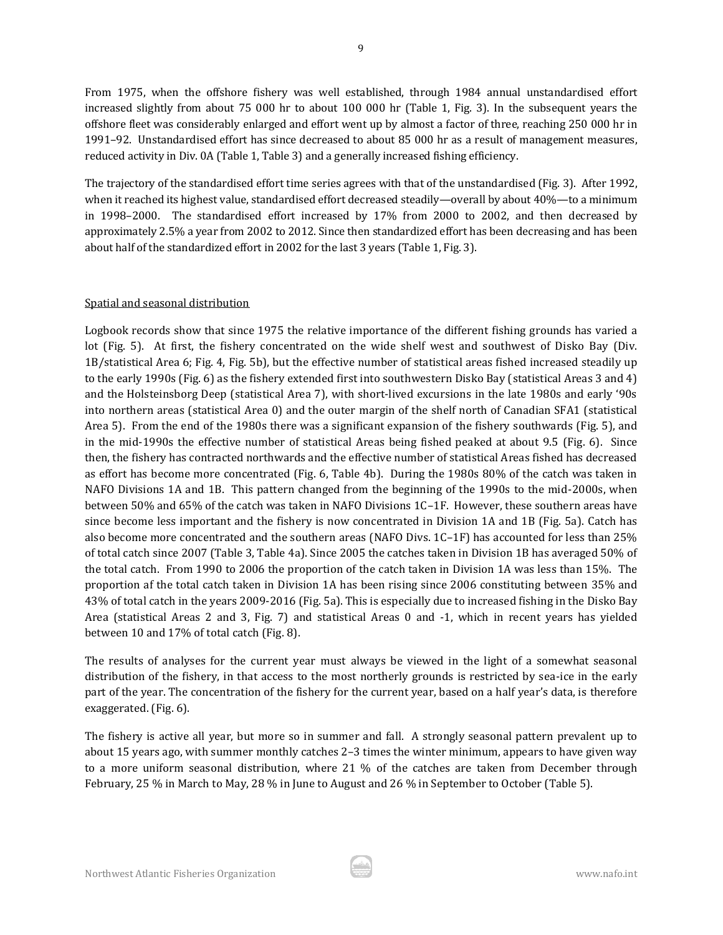From 1975, when the offshore fishery was well established, through 1984 annual unstandardised effort increased slightly from about 75 000 hr to about 100 000 hr (Table 1, Fig. 3). In the subsequent years the offshore fleet was considerably enlarged and effort went up by almost a factor of three, reaching 250 000 hr in 1991–92. Unstandardised effort has since decreased to about 85 000 hr as a result of management measures, reduced activity in Div. 0A (Table 1, Table 3) and a generally increased fishing efficiency.

The trajectory of the standardised effort time series agrees with that of the unstandardised (Fig. 3). After 1992, when it reached its highest value, standardised effort decreased steadily—overall by about 40%—to a minimum in 1998–2000. The standardised effort increased by 17% from 2000 to 2002, and then decreased by approximately 2.5% a year from 2002 to 2012. Since then standardized effort has been decreasing and has been about half of the standardized effort in 2002 for the last 3 years (Table 1, Fig. 3).

## Spatial and seasonal distribution

Logbook records show that since 1975 the relative importance of the different fishing grounds has varied a lot (Fig. 5). At first, the fishery concentrated on the wide shelf west and southwest of Disko Bay (Div. 1B/statistical Area 6; Fig. 4, Fig. 5b), but the effective number of statistical areas fished increased steadily up to the early 1990s (Fig. 6) as the fishery extended first into southwestern Disko Bay (statistical Areas 3 and 4) and the Holsteinsborg Deep (statistical Area 7), with short-lived excursions in the late 1980s and early '90s into northern areas (statistical Area 0) and the outer margin of the shelf north of Canadian SFA1 (statistical Area 5). From the end of the 1980s there was a significant expansion of the fishery southwards (Fig. 5), and in the mid-1990s the effective number of statistical Areas being fished peaked at about 9.5 (Fig. 6). Since then, the fishery has contracted northwards and the effective number of statistical Areas fished has decreased as effort has become more concentrated (Fig. 6, Table 4b). During the 1980s 80% of the catch was taken in NAFO Divisions 1A and 1B. This pattern changed from the beginning of the 1990s to the mid-2000s, when between 50% and 65% of the catch was taken in NAFO Divisions 1C–1F. However, these southern areas have since become less important and the fishery is now concentrated in Division 1A and 1B (Fig. 5a). Catch has also become more concentrated and the southern areas (NAFO Divs. 1C–1F) has accounted for less than 25% of total catch since 2007 (Table 3, Table 4a). Since 2005 the catches taken in Division 1B has averaged 50% of the total catch. From 1990 to 2006 the proportion of the catch taken in Division 1A was less than 15%. The proportion af the total catch taken in Division 1A has been rising since 2006 constituting between 35% and 43% of total catch in the years 2009-2016 (Fig. 5a). This is especially due to increased fishing in the Disko Bay Area (statistical Areas 2 and 3, Fig. 7) and statistical Areas 0 and -1, which in recent years has yielded between 10 and 17% of total catch (Fig. 8).

The results of analyses for the current year must always be viewed in the light of a somewhat seasonal distribution of the fishery, in that access to the most northerly grounds is restricted by sea-ice in the early part of the year. The concentration of the fishery for the current year, based on a half year's data, is therefore exaggerated. (Fig. 6).

The fishery is active all year, but more so in summer and fall. A strongly seasonal pattern prevalent up to about 15 years ago, with summer monthly catches 2–3 times the winter minimum, appears to have given way to a more uniform seasonal distribution, where 21 % of the catches are taken from December through February, 25 % in March to May, 28 % in June to August and 26 % in September to October (Table 5).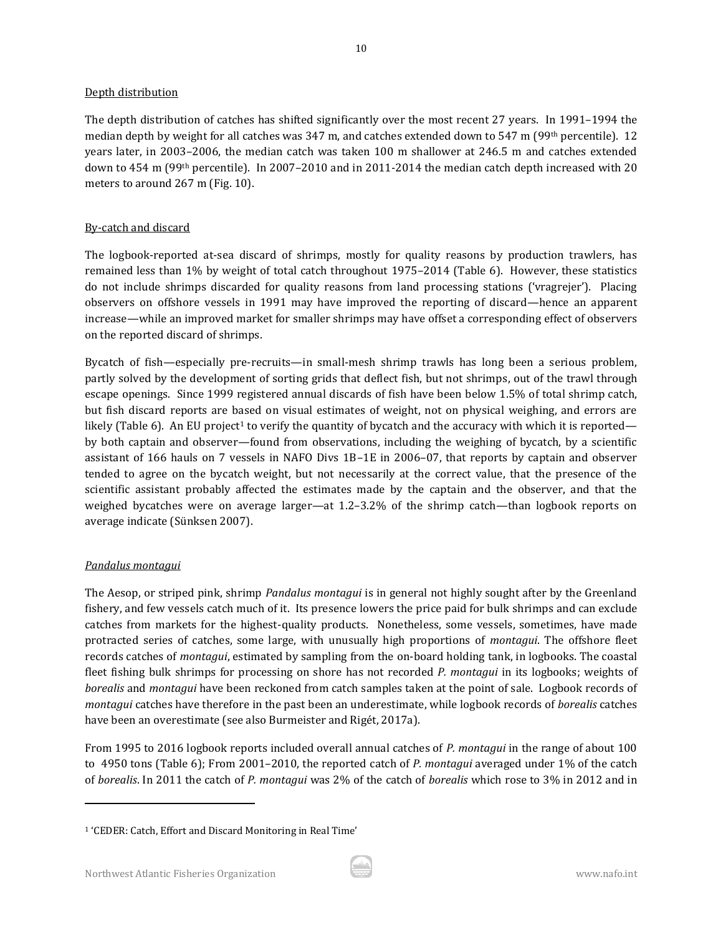#### Depth distribution

The depth distribution of catches has shifted significantly over the most recent 27 years. In 1991–1994 the median depth by weight for all catches was 347 m, and catches extended down to 547 m (99<sup>th</sup> percentile). 12 years later, in 2003–2006, the median catch was taken 100 m shallower at 246.5 m and catches extended down to 454 m (99<sup>th</sup> percentile). In 2007-2010 and in 2011-2014 the median catch depth increased with 20 meters to around 267 m (Fig. 10).

# By-catch and discard

The logbook-reported at-sea discard of shrimps, mostly for quality reasons by production trawlers, has remained less than 1% by weight of total catch throughout 1975–2014 (Table 6). However, these statistics do not include shrimps discarded for quality reasons from land processing stations ('vragrejer'). Placing observers on offshore vessels in 1991 may have improved the reporting of discard—hence an apparent increase—while an improved market for smaller shrimps may have offset a corresponding effect of observers on the reported discard of shrimps.

Bycatch of fish—especially pre-recruits—in small-mesh shrimp trawls has long been a serious problem, partly solved by the development of sorting grids that deflect fish, but not shrimps, out of the trawl through escape openings. Since 1999 registered annual discards of fish have been below 1.5% of total shrimp catch, but fish discard reports are based on visual estimates of weight, not on physical weighing, and errors are likely (Table 6). An EU project<sup>1</sup> to verify the quantity of bycatch and the accuracy with which it is reported by both captain and observer—found from observations, including the weighing of bycatch, by a scientific assistant of 166 hauls on 7 vessels in NAFO Divs 1B–1E in 2006–07, that reports by captain and observer tended to agree on the bycatch weight, but not necessarily at the correct value, that the presence of the scientific assistant probably affected the estimates made by the captain and the observer, and that the weighed bycatches were on average larger—at 1.2–3.2% of the shrimp catch—than logbook reports on average indicate (Sünksen 2007).

# *Pandalus montagui*

 $\overline{\phantom{a}}$ 

The Aesop, or striped pink, shrimp *Pandalus montagui* is in general not highly sought after by the Greenland fishery, and few vessels catch much of it. Its presence lowers the price paid for bulk shrimps and can exclude catches from markets for the highest-quality products. Nonetheless, some vessels, sometimes, have made protracted series of catches, some large, with unusually high proportions of *montagui*. The offshore fleet records catches of *montagui*, estimated by sampling from the on-board holding tank, in logbooks. The coastal fleet fishing bulk shrimps for processing on shore has not recorded *P. montagui* in its logbooks; weights of *borealis* and *montagui* have been reckoned from catch samples taken at the point of sale. Logbook records of *montagui* catches have therefore in the past been an underestimate, while logbook records of *borealis* catches have been an overestimate (see also Burmeister and Rigét, 2017a).

From 1995 to 2016 logbook reports included overall annual catches of *P. montagui* in the range of about 100 to 4950 tons (Table 6); From 2001–2010, the reported catch of *P. montagui* averaged under 1% of the catch of *borealis*. In 2011 the catch of *P. montagui* was 2% of the catch of *borealis* which rose to 3% in 2012 and in

<sup>1</sup> 'CEDER: Catch, Effort and Discard Monitoring in Real Time'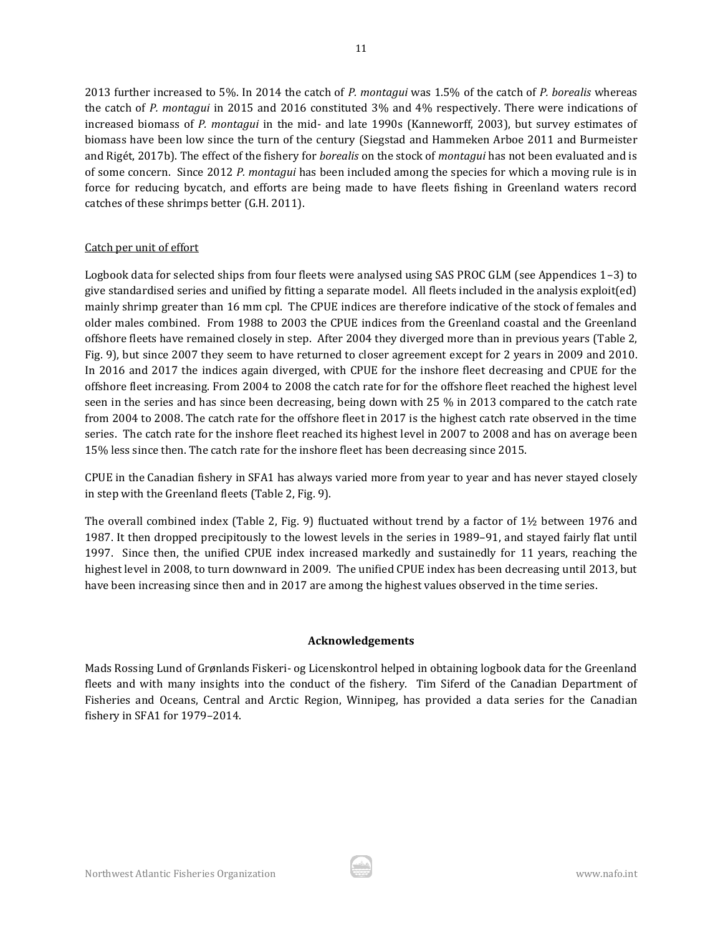2013 further increased to 5%. In 2014 the catch of *P. montagui* was 1.5% of the catch of *P. borealis* whereas the catch of *P. montagui* in 2015 and 2016 constituted 3% and 4% respectively. There were indications of increased biomass of *P. montagui* in the mid- and late 1990s (Kanneworff, 2003), but survey estimates of biomass have been low since the turn of the century (Siegstad and Hammeken Arboe 2011 and Burmeister and Rigét, 2017b). The effect of the fishery for *borealis* on the stock of *montagui* has not been evaluated and is of some concern. Since 2012 *P. montagui* has been included among the species for which a moving rule is in force for reducing bycatch, and efforts are being made to have fleets fishing in Greenland waters record catches of these shrimps better (G.H. 2011).

## Catch per unit of effort

Logbook data for selected ships from four fleets were analysed using SAS PROC GLM (see Appendices 1–3) to give standardised series and unified by fitting a separate model. All fleets included in the analysis exploit(ed) mainly shrimp greater than 16 mm cpl. The CPUE indices are therefore indicative of the stock of females and older males combined. From 1988 to 2003 the CPUE indices from the Greenland coastal and the Greenland offshore fleets have remained closely in step. After 2004 they diverged more than in previous years (Table 2, Fig. 9), but since 2007 they seem to have returned to closer agreement except for 2 years in 2009 and 2010. In 2016 and 2017 the indices again diverged, with CPUE for the inshore fleet decreasing and CPUE for the offshore fleet increasing. From 2004 to 2008 the catch rate for for the offshore fleet reached the highest level seen in the series and has since been decreasing, being down with 25 % in 2013 compared to the catch rate from 2004 to 2008. The catch rate for the offshore fleet in 2017 is the highest catch rate observed in the time series. The catch rate for the inshore fleet reached its highest level in 2007 to 2008 and has on average been 15% less since then. The catch rate for the inshore fleet has been decreasing since 2015.

CPUE in the Canadian fishery in SFA1 has always varied more from year to year and has never stayed closely in step with the Greenland fleets (Table 2, Fig. 9).

The overall combined index (Table 2, Fig. 9) fluctuated without trend by a factor of 1½ between 1976 and 1987. It then dropped precipitously to the lowest levels in the series in 1989–91, and stayed fairly flat until 1997. Since then, the unified CPUE index increased markedly and sustainedly for 11 years, reaching the highest level in 2008, to turn downward in 2009. The unified CPUE index has been decreasing until 2013, but have been increasing since then and in 2017 are among the highest values observed in the time series.

#### **Acknowledgements**

Mads Rossing Lund of Grønlands Fiskeri- og Licenskontrol helped in obtaining logbook data for the Greenland fleets and with many insights into the conduct of the fishery. Tim Siferd of the Canadian Department of Fisheries and Oceans, Central and Arctic Region, Winnipeg, has provided a data series for the Canadian fishery in SFA1 for 1979–2014.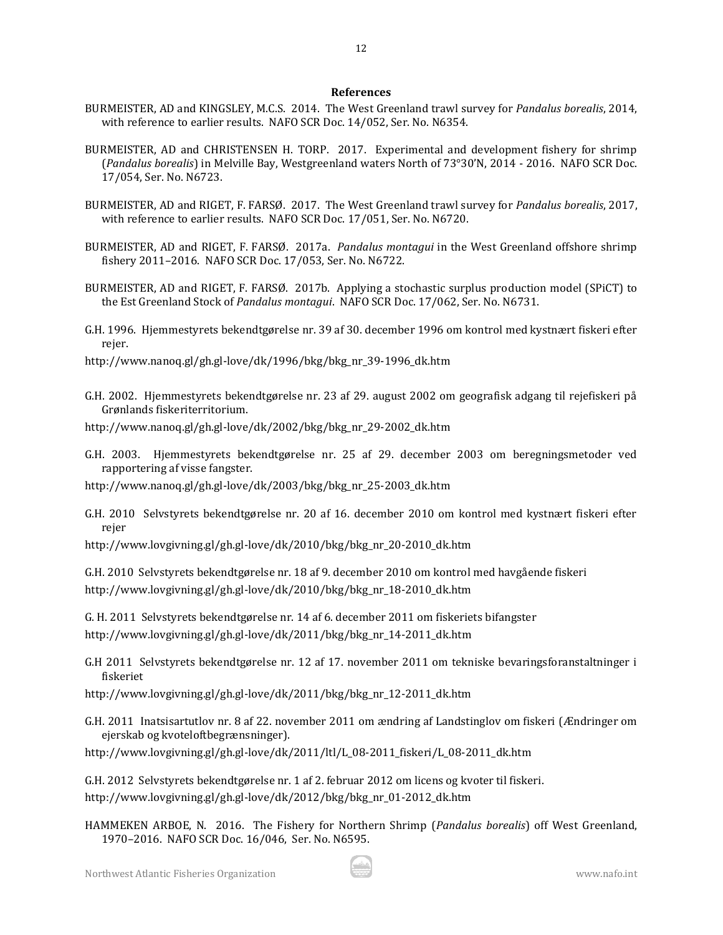#### **References**

12

- BURMEISTER, AD and KINGSLEY, M.C.S. 2014. The West Greenland trawl survey for *Pandalus borealis*, 2014, with reference to earlier results. NAFO SCR Doc. 14/052, Ser. No. N6354.
- BURMEISTER, AD and CHRISTENSEN H. TORP. 2017. Experimental and development fishery for shrimp (*Pandalus borealis*) in Melville Bay, Westgreenland waters North of 73°30'N, 2014 - 2016. NAFO SCR Doc. 17/054, Ser. No. N6723.
- BURMEISTER, AD and RIGET, F. FARSØ. 2017. The West Greenland trawl survey for *Pandalus borealis*, 2017, with reference to earlier results. NAFO SCR Doc. 17/051, Ser. No. N6720.
- BURMEISTER, AD and RIGET, F. FARSØ. 2017a. *Pandalus montagui* in the West Greenland offshore shrimp fishery 2011–2016. NAFO SCR Doc. 17/053, Ser. No. N6722.
- BURMEISTER, AD and RIGET, F. FARSØ. 2017b. Applying a stochastic surplus production model (SPiCT) to the Est Greenland Stock of *Pandalus montagui*. NAFO SCR Doc. 17/062, Ser. No. N6731.
- G.H. 1996. Hjemmestyrets bekendtgørelse nr. 39 af 30. december 1996 om kontrol med kystnært fiskeri efter rejer.

http://www.nanoq.gl/gh.gl-love/dk/1996/bkg/bkg\_nr\_39-1996\_dk.htm

- G.H. 2002. Hjemmestyrets bekendtgørelse nr. 23 af 29. august 2002 om geografisk adgang til rejefiskeri på Grønlands fiskeriterritorium.
- http://www.nanoq.gl/gh.gl-love/dk/2002/bkg/bkg\_nr\_29-2002\_dk.htm
- G.H. 2003. Hjemmestyrets bekendtgørelse nr. 25 af 29. december 2003 om beregningsmetoder ved rapportering af visse fangster.
- http://www.nanoq.gl/gh.gl-love/dk/2003/bkg/bkg\_nr\_25-2003\_dk.htm
- G.H. 2010 Selvstyrets bekendtgørelse nr. 20 af 16. december 2010 om kontrol med kystnært fiskeri efter rejer
- [http://www.lovgivning.gl/gh.gl-love/dk/2010/bkg/bkg\\_nr\\_20-2010\\_dk.htm](http://www.lovgivning.gl/gh.gl-love/dk/2010/bkg/bkg_nr_20-2010_dk.htm)

G.H. 2010 Selvstyrets bekendtgørelse nr. 18 af 9. december 2010 om kontrol med havgående fiskeri [http://www.lovgivning.gl/gh.gl-love/dk/2010/bkg/bkg\\_nr\\_18-2010\\_dk.htm](http://www.lovgivning.gl/gh.gl-love/dk/2010/bkg/bkg_nr_18-2010_dk.htm)

G. H. 2011 Selvstyrets bekendtgørelse nr. 14 af 6. december 2011 om fiskeriets bifangster [http://www.lovgivning.gl/gh.gl-love/dk/2011/bkg/bkg\\_nr\\_14-2011\\_dk.htm](http://www.lovgivning.gl/gh.gl-love/dk/2011/bkg/bkg_nr_14-2011_dk.htm)

G.H 2011 Selvstyrets bekendtgørelse nr. 12 af 17. november 2011 om tekniske bevaringsforanstaltninger i fiskeriet

[http://www.lovgivning.gl/gh.gl-love/dk/2011/bkg/bkg\\_nr\\_12-2011\\_dk.htm](http://www.lovgivning.gl/gh.gl-love/dk/2011/bkg/bkg_nr_12-2011_dk.htm)

G.H. 2011 Inatsisartutlov nr. 8 af 22. november 2011 om ændring af Landstinglov om fiskeri (Ændringer om ejerskab og kvoteloftbegrænsninger).

[http://www.lovgivning.gl/gh.gl-love/dk/2011/ltl/L\\_08-2011\\_fiskeri/L\\_08-2011\\_dk.htm](http://www.lovgivning.gl/gh.gl-love/dk/2011/ltl/L_08-2011_fiskeri/L_08-2011_dk.htm)

G.H. 2012 Selvstyrets bekendtgørelse nr. 1 af 2. februar 2012 om licens og kvoter til fiskeri. [http://www.lovgivning.gl/gh.gl-love/dk/2012/bkg/bkg\\_nr\\_01-2012\\_dk.htm](http://www.lovgivning.gl/gh.gl-love/dk/2012/bkg/bkg_nr_01-2012_dk.htm)

HAMMEKEN ARBOE, N. 2016. The Fishery for Northern Shrimp (*Pandalus borealis*) off West Greenland, 1970–2016. NAFO SCR Doc. 16/046, Ser. No. N6595.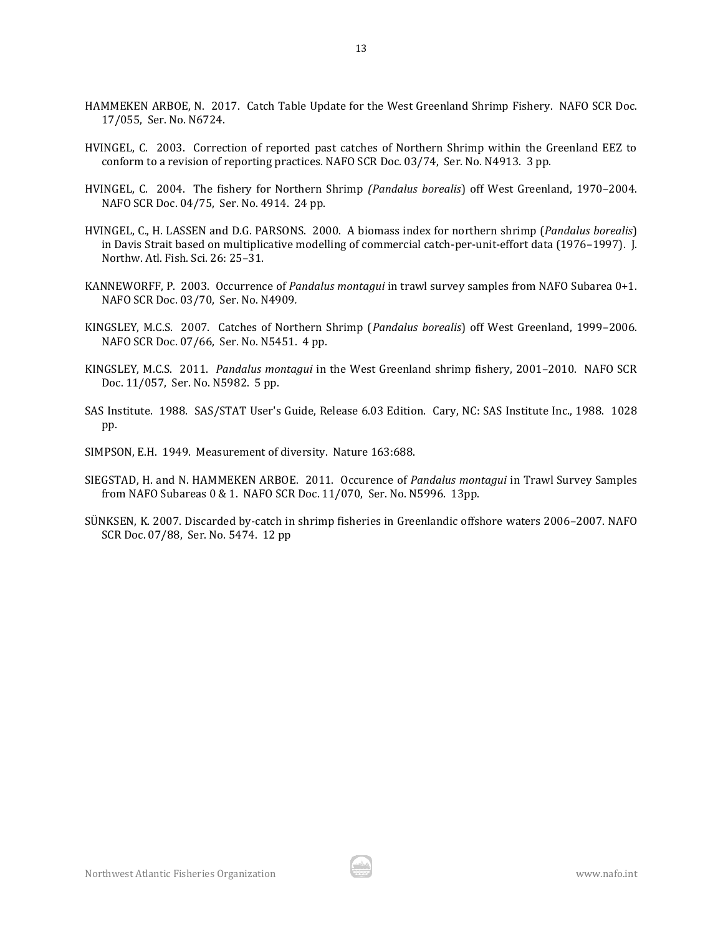- HAMMEKEN ARBOE, N. 2017. Catch Table Update for the West Greenland Shrimp Fishery. NAFO SCR Doc. 17/055, Ser. No. N6724.
- HVINGEL, C. 2003. Correction of reported past catches of Northern Shrimp within the Greenland EEZ to conform to a revision of reporting practices. NAFO SCR Doc. 03/74, Ser. No. N4913. 3 pp.
- HVINGEL, C. 2004. The fishery for Northern Shrimp *(Pandalus borealis*) off West Greenland, 1970–2004. NAFO SCR Doc. 04/75, Ser. No. 4914. 24 pp.
- HVINGEL, C., H. LASSEN and D.G. PARSONS. 2000. A biomass index for northern shrimp (*Pandalus borealis*) in Davis Strait based on multiplicative modelling of commercial catch-per-unit-effort data (1976–1997). J. Northw. Atl. Fish. Sci. 26: 25–31.
- KANNEWORFF, P. 2003. Occurrence of *Pandalus montagui* in trawl survey samples from NAFO Subarea 0+1. NAFO SCR Doc. 03/70, Ser. No. N4909*.*
- KINGSLEY, M.C.S. 2007. Catches of Northern Shrimp (*Pandalus borealis*) off West Greenland, 1999–2006. NAFO SCR Doc. 07/66, Ser. No. N5451. 4 pp.
- KINGSLEY, M.C.S. 2011. *Pandalus montagui* in the West Greenland shrimp fishery, 2001–2010. NAFO SCR Doc. 11/057, Ser. No. N5982. 5 pp.
- SAS Institute. 1988. SAS/STAT User's Guide, Release 6.03 Edition. Cary, NC: SAS Institute Inc., 1988. 1028 pp.
- SIMPSON, E.H. 1949. Measurement of diversity. Nature 163:688.
- SIEGSTAD, H. and N. HAMMEKEN ARBOE. 2011. Occurence of *Pandalus montagui* in Trawl Survey Samples from NAFO Subareas 0 & 1. NAFO SCR Doc. 11/070, Ser. No. N5996. 13pp.
- SÜNKSEN, K. 2007. Discarded by-catch in shrimp fisheries in Greenlandic offshore waters 2006–2007. NAFO SCR Doc. 07/88, Ser. No. 5474. 12 pp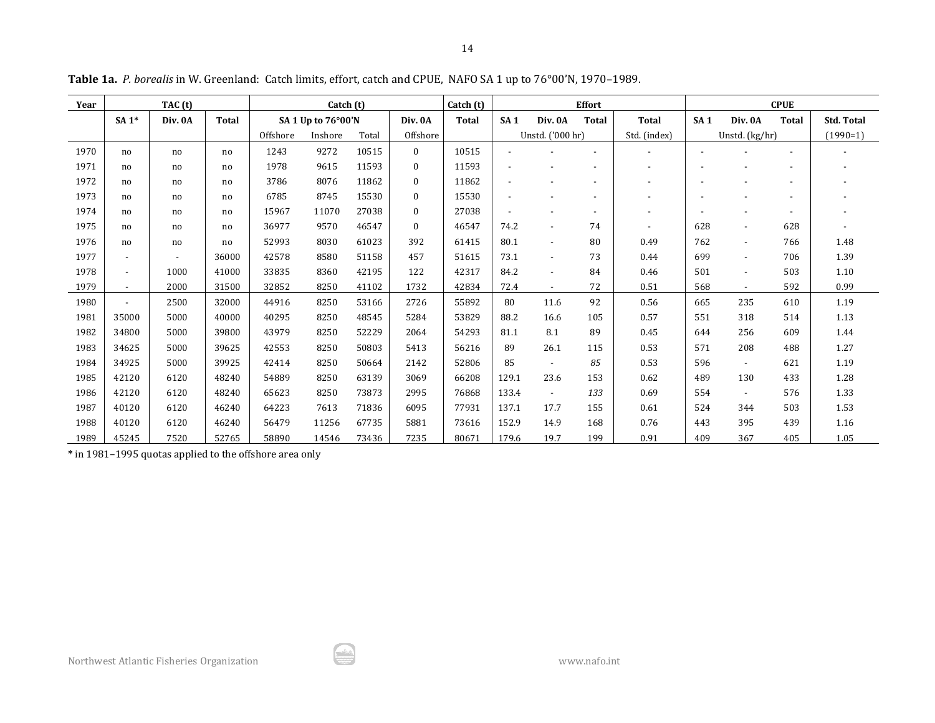| Year | TAC (t)                  |         |              | Catch (t) |                    |       | Catch (t)    |              |       | <b>Effort</b>            |              | <b>CPUE</b>  |     |                |                          |                   |
|------|--------------------------|---------|--------------|-----------|--------------------|-------|--------------|--------------|-------|--------------------------|--------------|--------------|-----|----------------|--------------------------|-------------------|
|      | $SA1*$                   | Div. 0A | <b>Total</b> |           | SA 1 Up to 76°00'N |       | Div. 0A      | <b>Total</b> | SA1   | Div. 0A                  | <b>Total</b> | <b>Total</b> | SA1 | Div. 0A        | <b>Total</b>             | <b>Std. Total</b> |
|      |                          |         |              | Offshore  | Inshore            | Total | Offshore     |              |       | Unstd. ('000 hr)         |              | Std. (index) |     | Unstd. (kg/hr) |                          | $(1990=1)$        |
| 1970 | no                       | no      | no           | 1243      | 9272               | 10515 | $\theta$     | 10515        |       |                          |              |              |     |                |                          |                   |
| 1971 | no                       | no      | no           | 1978      | 9615               | 11593 | $\mathbf{0}$ | 11593        |       |                          |              |              |     |                |                          |                   |
| 1972 | no                       | no      | no           | 3786      | 8076               | 11862 | $\mathbf{0}$ | 11862        |       |                          |              |              |     |                | $\overline{\phantom{a}}$ |                   |
| 1973 | no                       | no      | no           | 6785      | 8745               | 15530 | $\mathbf{0}$ | 15530        |       |                          |              |              |     |                |                          |                   |
| 1974 | no                       | no      | no           | 15967     | 11070              | 27038 | $\mathbf{0}$ | 27038        |       |                          |              |              |     |                | $\overline{\phantom{a}}$ |                   |
| 1975 | no                       | no      | no           | 36977     | 9570               | 46547 | $\mathbf{0}$ | 46547        | 74.2  |                          | 74           |              | 628 |                | 628                      |                   |
| 1976 | no                       | no      | no           | 52993     | 8030               | 61023 | 392          | 61415        | 80.1  | $\overline{\phantom{a}}$ | 80           | 0.49         | 762 | $\overline{a}$ | 766                      | 1.48              |
| 1977 | $\overline{\phantom{a}}$ |         | 36000        | 42578     | 8580               | 51158 | 457          | 51615        | 73.1  | $\overline{\phantom{a}}$ | 73           | 0.44         | 699 | $\overline{a}$ | 706                      | 1.39              |
| 1978 | $\overline{\phantom{a}}$ | 1000    | 41000        | 33835     | 8360               | 42195 | 122          | 42317        | 84.2  |                          | 84           | 0.46         | 501 |                | 503                      | 1.10              |
| 1979 | $\overline{\phantom{a}}$ | 2000    | 31500        | 32852     | 8250               | 41102 | 1732         | 42834        | 72.4  | $\overline{\phantom{a}}$ | 72           | 0.51         | 568 |                | 592                      | 0.99              |
| 1980 | $\overline{\phantom{a}}$ | 2500    | 32000        | 44916     | 8250               | 53166 | 2726         | 55892        | 80    | 11.6                     | 92           | 0.56         | 665 | 235            | 610                      | 1.19              |
| 1981 | 35000                    | 5000    | 40000        | 40295     | 8250               | 48545 | 5284         | 53829        | 88.2  | 16.6                     | 105          | 0.57         | 551 | 318            | 514                      | 1.13              |
| 1982 | 34800                    | 5000    | 39800        | 43979     | 8250               | 52229 | 2064         | 54293        | 81.1  | 8.1                      | 89           | 0.45         | 644 | 256            | 609                      | 1.44              |
| 1983 | 34625                    | 5000    | 39625        | 42553     | 8250               | 50803 | 5413         | 56216        | 89    | 26.1                     | 115          | 0.53         | 571 | 208            | 488                      | 1.27              |
| 1984 | 34925                    | 5000    | 39925        | 42414     | 8250               | 50664 | 2142         | 52806        | 85    |                          | 85           | 0.53         | 596 | $\sim$         | 621                      | 1.19              |
| 1985 | 42120                    | 6120    | 48240        | 54889     | 8250               | 63139 | 3069         | 66208        | 129.1 | 23.6                     | 153          | 0.62         | 489 | 130            | 433                      | 1.28              |
| 1986 | 42120                    | 6120    | 48240        | 65623     | 8250               | 73873 | 2995         | 76868        | 133.4 | $\overline{\phantom{0}}$ | 133          | 0.69         | 554 |                | 576                      | 1.33              |
| 1987 | 40120                    | 6120    | 46240        | 64223     | 7613               | 71836 | 6095         | 77931        | 137.1 | 17.7                     | 155          | 0.61         | 524 | 344            | 503                      | 1.53              |
| 1988 | 40120                    | 6120    | 46240        | 56479     | 11256              | 67735 | 5881         | 73616        | 152.9 | 14.9                     | 168          | 0.76         | 443 | 395            | 439                      | 1.16              |
| 1989 | 45245                    | 7520    | 52765        | 58890     | 14546              | 73436 | 7235         | 80671        | 179.6 | 19.7                     | 199          | 0.91         | 409 | 367            | 405                      | 1.05              |

**Table 1a.** *P. borealis* in W. Greenland: Catch limits, effort, catch and CPUE, NAFO SA 1 up to 76°00'N, 1970–1989.

**\*** in 1981–1995 quotas applied to the offshore area only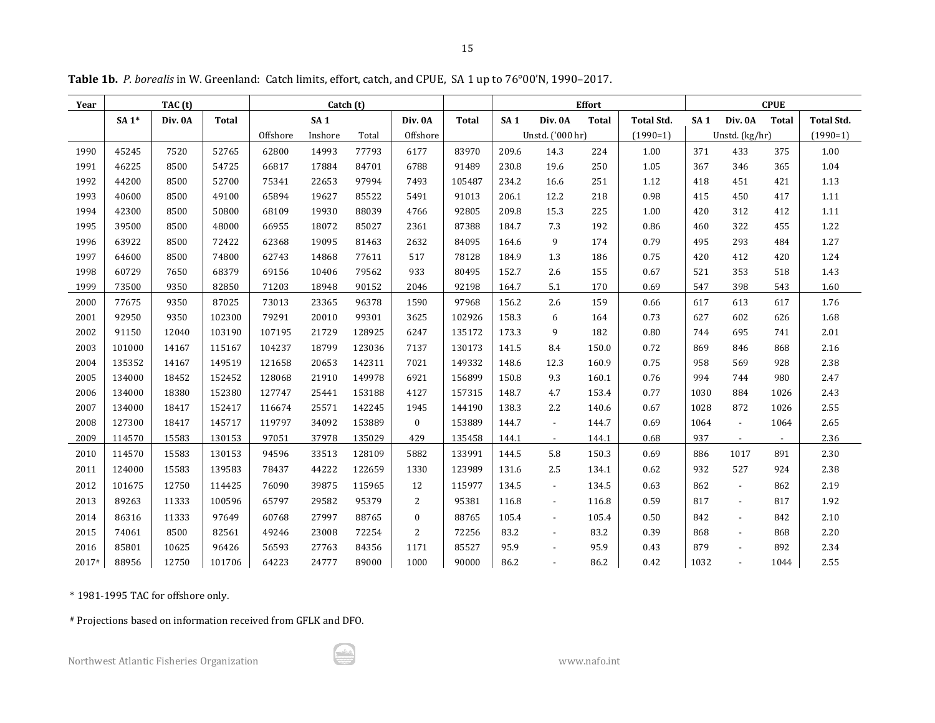| Year  |         | TAC (t) |              |          | Catch (t)       |        |                  |              | <b>Effort</b><br><b>CPUE</b> |                          |              |                   |                 |                          |              |                   |
|-------|---------|---------|--------------|----------|-----------------|--------|------------------|--------------|------------------------------|--------------------------|--------------|-------------------|-----------------|--------------------------|--------------|-------------------|
|       | SA $1*$ | Div. 0A | <b>Total</b> |          | SA <sub>1</sub> |        | Div. 0A          | <b>Total</b> | SA <sub>1</sub>              | Div. 0A                  | <b>Total</b> | <b>Total Std.</b> | SA <sub>1</sub> | Div. 0A                  | <b>Total</b> | <b>Total Std.</b> |
|       |         |         |              | Offshore | Inshore         | Total  | Offshore         |              |                              | Unstd. ('000 hr)         |              | $(1990=1)$        |                 | Unstd. (kg/hr)           |              | $(1990=1)$        |
| 1990  | 45245   | 7520    | 52765        | 62800    | 14993           | 77793  | 6177             | 83970        | 209.6                        | 14.3                     | 224          | 1.00              | 371             | 433                      | 375          | 1.00              |
| 1991  | 46225   | 8500    | 54725        | 66817    | 17884           | 84701  | 6788             | 91489        | 230.8                        | 19.6                     | 250          | 1.05              | 367             | 346                      | 365          | 1.04              |
| 1992  | 44200   | 8500    | 52700        | 75341    | 22653           | 97994  | 7493             | 105487       | 234.2                        | 16.6                     | 251          | 1.12              | 418             | 451                      | 421          | 1.13              |
| 1993  | 40600   | 8500    | 49100        | 65894    | 19627           | 85522  | 5491             | 91013        | 206.1                        | 12.2                     | 218          | 0.98              | 415             | 450                      | 417          | 1.11              |
| 1994  | 42300   | 8500    | 50800        | 68109    | 19930           | 88039  | 4766             | 92805        | 209.8                        | 15.3                     | 225          | 1.00              | 420             | 312                      | 412          | 1.11              |
| 1995  | 39500   | 8500    | 48000        | 66955    | 18072           | 85027  | 2361             | 87388        | 184.7                        | 7.3                      | 192          | 0.86              | 460             | 322                      | 455          | 1.22              |
| 1996  | 63922   | 8500    | 72422        | 62368    | 19095           | 81463  | 2632             | 84095        | 164.6                        | 9                        | 174          | 0.79              | 495             | 293                      | 484          | 1.27              |
| 1997  | 64600   | 8500    | 74800        | 62743    | 14868           | 77611  | 517              | 78128        | 184.9                        | 1.3                      | 186          | 0.75              | 420             | 412                      | 420          | 1.24              |
| 1998  | 60729   | 7650    | 68379        | 69156    | 10406           | 79562  | 933              | 80495        | 152.7                        | 2.6                      | 155          | 0.67              | 521             | 353                      | 518          | 1.43              |
| 1999  | 73500   | 9350    | 82850        | 71203    | 18948           | 90152  | 2046             | 92198        | 164.7                        | 5.1                      | 170          | 0.69              | 547             | 398                      | 543          | 1.60              |
| 2000  | 77675   | 9350    | 87025        | 73013    | 23365           | 96378  | 1590             | 97968        | 156.2                        | 2.6                      | 159          | 0.66              | 617             | 613                      | 617          | 1.76              |
| 2001  | 92950   | 9350    | 102300       | 79291    | 20010           | 99301  | 3625             | 102926       | 158.3                        | 6                        | 164          | 0.73              | 627             | 602                      | 626          | 1.68              |
| 2002  | 91150   | 12040   | 103190       | 107195   | 21729           | 128925 | 6247             | 135172       | 173.3                        | 9                        | 182          | 0.80              | 744             | 695                      | 741          | 2.01              |
| 2003  | 101000  | 14167   | 115167       | 104237   | 18799           | 123036 | 7137             | 130173       | 141.5                        | 8.4                      | 150.0        | 0.72              | 869             | 846                      | 868          | 2.16              |
| 2004  | 135352  | 14167   | 149519       | 121658   | 20653           | 142311 | 7021             | 149332       | 148.6                        | 12.3                     | 160.9        | 0.75              | 958             | 569                      | 928          | 2.38              |
| 2005  | 134000  | 18452   | 152452       | 128068   | 21910           | 149978 | 6921             | 156899       | 150.8                        | 9.3                      | 160.1        | 0.76              | 994             | 744                      | 980          | 2.47              |
| 2006  | 134000  | 18380   | 152380       | 127747   | 25441           | 153188 | 4127             | 157315       | 148.7                        | 4.7                      | 153.4        | 0.77              | 1030            | 884                      | 1026         | 2.43              |
| 2007  | 134000  | 18417   | 152417       | 116674   | 25571           | 142245 | 1945             | 144190       | 138.3                        | 2.2                      | 140.6        | 0.67              | 1028            | 872                      | 1026         | 2.55              |
| 2008  | 127300  | 18417   | 145717       | 119797   | 34092           | 153889 | $\mathbf{0}$     | 153889       | 144.7                        | $\overline{\phantom{a}}$ | 144.7        | 0.69              | 1064            | $\sim$                   | 1064         | 2.65              |
| 2009  | 114570  | 15583   | 130153       | 97051    | 37978           | 135029 | 429              | 135458       | 144.1                        | $\sim$                   | 144.1        | 0.68              | 937             | $\sim$                   | $\sim$       | 2.36              |
| 2010  | 114570  | 15583   | 130153       | 94596    | 33513           | 128109 | 5882             | 133991       | 144.5                        | 5.8                      | 150.3        | 0.69              | 886             | 1017                     | 891          | 2.30              |
| 2011  | 124000  | 15583   | 139583       | 78437    | 44222           | 122659 | 1330             | 123989       | 131.6                        | 2.5                      | 134.1        | 0.62              | 932             | 527                      | 924          | 2.38              |
| 2012  | 101675  | 12750   | 114425       | 76090    | 39875           | 115965 | 12               | 115977       | 134.5                        | $\overline{\phantom{a}}$ | 134.5        | 0.63              | 862             | $\sim$                   | 862          | 2.19              |
| 2013  | 89263   | 11333   | 100596       | 65797    | 29582           | 95379  | 2                | 95381        | 116.8                        | $\overline{\phantom{a}}$ | 116.8        | 0.59              | 817             | $\overline{\phantom{a}}$ | 817          | 1.92              |
| 2014  | 86316   | 11333   | 97649        | 60768    | 27997           | 88765  | $\boldsymbol{0}$ | 88765        | 105.4                        | $\overline{\phantom{a}}$ | 105.4        | 0.50              | 842             | $\mathbf{r}$             | 842          | 2.10              |
| 2015  | 74061   | 8500    | 82561        | 49246    | 23008           | 72254  | 2                | 72256        | 83.2                         | $\overline{\phantom{a}}$ | 83.2         | 0.39              | 868             | $\overline{\phantom{a}}$ | 868          | 2.20              |
| 2016  | 85801   | 10625   | 96426        | 56593    | 27763           | 84356  | 1171             | 85527        | 95.9                         |                          | 95.9         | 0.43              | 879             |                          | 892          | 2.34              |
| 2017# | 88956   | 12750   | 101706       | 64223    | 24777           | 89000  | 1000             | 90000        | 86.2                         | $\overline{a}$           | 86.2         | 0.42              | 1032            | $\overline{\phantom{a}}$ | 1044         | 2.55              |

**Table 1b.** *P. borealis* in W. Greenland: Catch limits, effort, catch, and CPUE, SA 1 up to 76°00'N, 1990–2017.

\* 1981-1995 TAC for offshore only.

# Projections based on information received from GFLK and DFO.

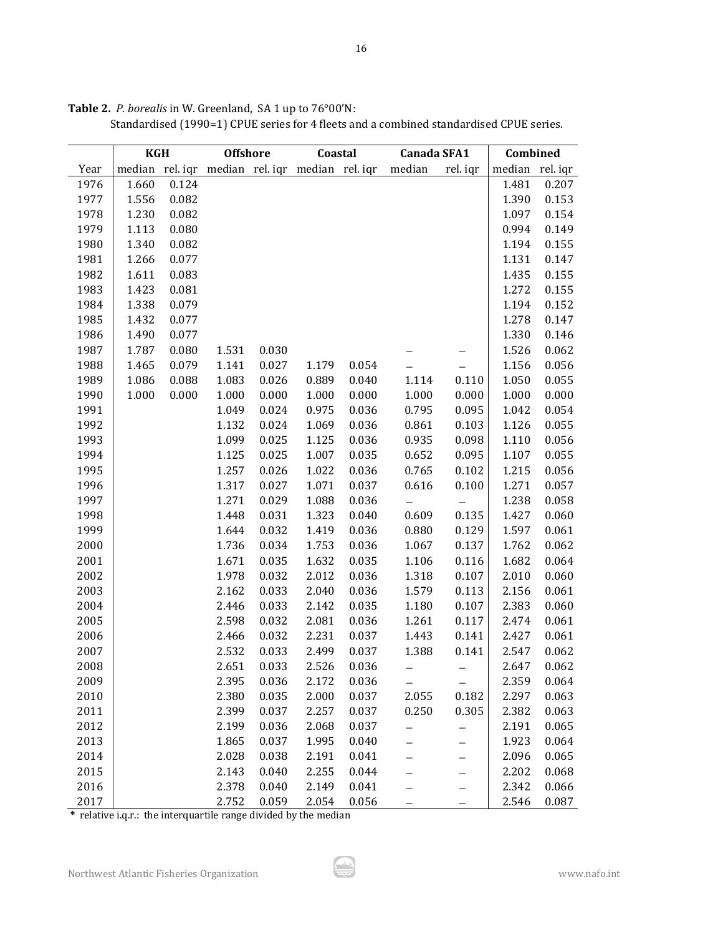|              | <b>KGH</b>     |                | <b>Offshore</b>                                 |       | Coastal |       | Canada SFA1 |                   | Combined       |                |
|--------------|----------------|----------------|-------------------------------------------------|-------|---------|-------|-------------|-------------------|----------------|----------------|
| Year         |                |                | median rel. iqr median rel. iqr median rel. iqr |       |         |       | median      | rel. iqr          | median rel.iqr |                |
| 1976         | 1.660          | 0.124          |                                                 |       |         |       |             |                   | 1.481          | 0.207          |
| 1977<br>1978 | 1.556<br>1.230 | 0.082<br>0.082 |                                                 |       |         |       |             |                   | 1.390<br>1.097 | 0.153<br>0.154 |
|              |                |                |                                                 |       |         |       |             |                   |                |                |
| 1979         | 1.113          | 0.080          |                                                 |       |         |       |             |                   | 0.994          | 0.149          |
| 1980         | 1.340          | 0.082          |                                                 |       |         |       |             |                   | 1.194          | 0.155          |
| 1981         | 1.266          | 0.077          |                                                 |       |         |       |             |                   | 1.131          | 0.147          |
| 1982         | 1.611          | 0.083          |                                                 |       |         |       |             |                   | 1.435          | 0.155          |
| 1983         | 1.423          | 0.081          |                                                 |       |         |       |             |                   | 1.272          | 0.155          |
| 1984         | 1.338          | 0.079          |                                                 |       |         |       |             |                   | 1.194          | 0.152          |
| 1985         | 1.432          | 0.077          |                                                 |       |         |       |             |                   | 1.278          | 0.147          |
| 1986         | 1.490          | 0.077          |                                                 |       |         |       |             |                   | 1.330          | 0.146          |
| 1987         | 1.787          | 0.080          | 1.531                                           | 0.030 |         |       |             |                   | 1.526          | 0.062          |
| 1988         | 1.465          | 0.079          | 1.141                                           | 0.027 | 1.179   | 0.054 |             |                   | 1.156          | 0.056          |
| 1989         | 1.086          | 0.088          | 1.083                                           | 0.026 | 0.889   | 0.040 | 1.114       | 0.110             | 1.050          | 0.055          |
| 1990         | 1.000          | 0.000          | 1.000                                           | 0.000 | 1.000   | 0.000 | 1.000       | 0.000             | 1.000          | 0.000          |
| 1991         |                |                | 1.049                                           | 0.024 | 0.975   | 0.036 | 0.795       | 0.095             | 1.042          | 0.054          |
| 1992         |                |                | 1.132                                           | 0.024 | 1.069   | 0.036 | 0.861       | 0.103             | 1.126          | 0.055          |
| 1993         |                |                | 1.099                                           | 0.025 | 1.125   | 0.036 | 0.935       | 0.098             | 1.110          | 0.056          |
| 1994         |                |                | 1.125                                           | 0.025 | 1.007   | 0.035 | 0.652       | 0.095             | 1.107          | 0.055          |
| 1995         |                |                | 1.257                                           | 0.026 | 1.022   | 0.036 | 0.765       | 0.102             | 1.215          | 0.056          |
| 1996         |                |                | 1.317                                           | 0.027 | 1.071   | 0.037 | 0.616       | 0.100             | 1.271          | 0.057          |
| 1997         |                |                | 1.271                                           | 0.029 | 1.088   | 0.036 |             | —                 | 1.238          | 0.058          |
| 1998         |                |                | 1.448                                           | 0.031 | 1.323   | 0.040 | 0.609       | 0.135             | 1.427          | 0.060          |
| 1999         |                |                | 1.644                                           | 0.032 | 1.419   | 0.036 | 0.880       | 0.129             | 1.597          | 0.061          |
| 2000         |                |                | 1.736                                           | 0.034 | 1.753   | 0.036 | 1.067       | 0.137             | 1.762          | 0.062          |
| 2001         |                |                | 1.671                                           | 0.035 | 1.632   | 0.035 | 1.106       | 0.116             | 1.682          | 0.064          |
| 2002         |                |                | 1.978                                           | 0.032 | 2.012   | 0.036 | 1.318       | 0.107             | 2.010          | 0.060          |
| 2003         |                |                | 2.162                                           | 0.033 | 2.040   | 0.036 | 1.579       | 0.113             | 2.156          | 0.061          |
| 2004         |                |                | 2.446                                           | 0.033 | 2.142   | 0.035 | 1.180       | 0.107             | 2.383          | 0.060          |
| 2005         |                |                | 2.598                                           | 0.032 | 2.081   | 0.036 | 1.261       | 0.117             | 2.474          | 0.061          |
| 2006         |                |                | 2.466                                           | 0.032 | 2.231   | 0.037 | 1.443       | 0.141             | 2.427          | 0.061          |
| 2007         |                |                | 2.532                                           | 0.033 | 2.499   | 0.037 | 1.388       | 0.141             | 2.547          | 0.062          |
| 2008         |                |                | 2.651                                           | 0.033 | 2.526   | 0.036 |             | —                 | 2.647          | 0.062          |
| 2009         |                |                | 2.395                                           | 0.036 | 2.172   | 0.036 |             |                   | 2.359          | 0.064          |
| 2010         |                |                | 2.380                                           | 0.035 | 2.000   | 0.037 | 2.055       | 0.182             | 2.297          | 0.063          |
| 2011         |                |                | 2.399                                           | 0.037 | 2.257   | 0.037 | 0.250       | 0.305             | 2.382          | 0.063          |
| 2012         |                |                | 2.199                                           | 0.036 | 2.068   | 0.037 |             |                   | 2.191          | 0.065          |
| 2013         |                |                | 1.865                                           | 0.037 | 1.995   | 0.040 |             |                   | 1.923          | 0.064          |
| 2014         |                |                | 2.028                                           | 0.038 | 2.191   | 0.041 |             | —                 | 2.096          | 0.065          |
| 2015         |                |                | 2.143                                           | 0.040 | 2.255   | 0.044 |             |                   | 2.202          | 0.068          |
| 2016         |                |                | 2.378                                           | 0.040 | 2.149   | 0.041 |             |                   | 2.342          | 0.066          |
| 2017         |                |                | 2.752                                           | 0.059 | 2.054   | 0.056 |             | $\qquad \qquad -$ | 2.546          | 0.087          |

**Table 2.** *P. borealis* in W. Greenland, SA 1 up to 76°00'N:

Standardised (1990=1) CPUE series for 4 fleets and a combined standardised CPUE series.

**\*** relative i.q.r.: the interquartile range divided by the median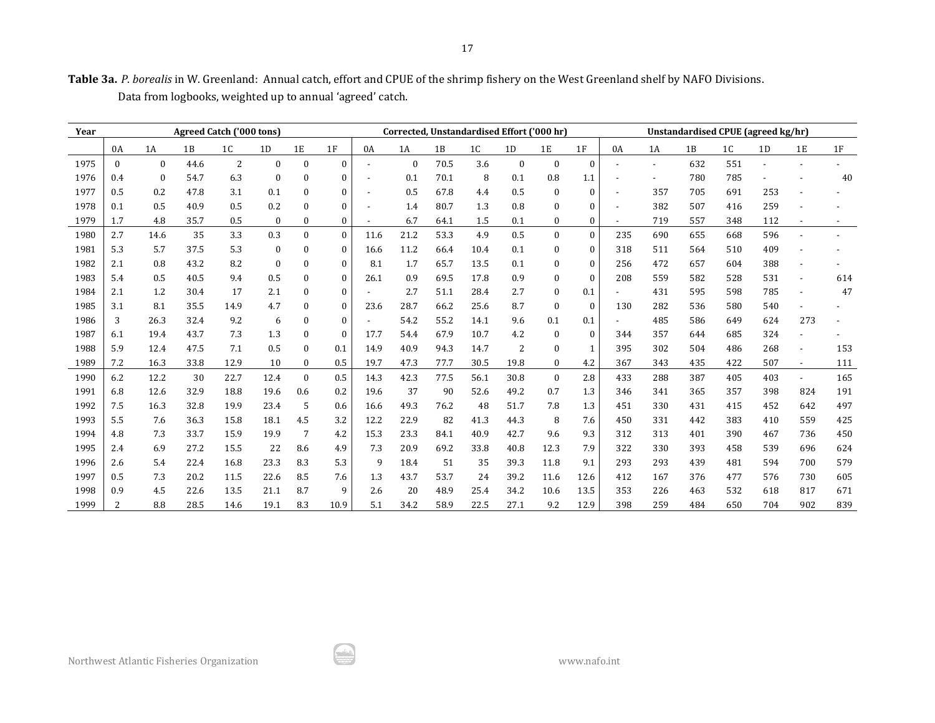| Table 3a. P. borealis in W. Greenland: Annual catch, effort and CPUE of the shrimp fishery on the West Greenland shelf by NAFO Divisions. |  |
|-------------------------------------------------------------------------------------------------------------------------------------------|--|
| Data from logbooks, weighted up to annual 'agreed' catch.                                                                                 |  |

| Year |                | <b>Agreed Catch ('000 tons)</b> |      |                |              |                  |              |      | Corrected, Unstandardised Effort ('000 hr) |      |                |                |                  |              |                          | Unstandardised CPUE (agreed kg/hr) |     |     |     |                |     |
|------|----------------|---------------------------------|------|----------------|--------------|------------------|--------------|------|--------------------------------------------|------|----------------|----------------|------------------|--------------|--------------------------|------------------------------------|-----|-----|-----|----------------|-----|
|      | 0A             | 1A                              | 1B   | 1 <sub>C</sub> | 1D           | 1E               | 1F           | 0A   | 1A                                         | 1B   | 1 <sub>C</sub> | 1D             | 1E               | 1F           | 0A                       | 1A                                 | 1B  | 1C  | 1D  | 1E             | 1F  |
| 1975 | $\mathbf{0}$   | $\mathbf{0}$                    | 44.6 | $\overline{2}$ | $\bf{0}$     | $\mathbf{0}$     | 0            |      | $\mathbf{0}$                               | 70.5 | 3.6            | $\mathbf{0}$   | $\boldsymbol{0}$ | $\Omega$     |                          |                                    | 632 | 551 |     |                |     |
| 1976 | 0.4            | $\mathbf{0}$                    | 54.7 | 6.3            | $\mathbf{0}$ | $\mathbf{0}$     | $\mathbf{0}$ |      | 0.1                                        | 70.1 | 8              | 0.1            | 0.8              | 1.1          | $\overline{\phantom{a}}$ |                                    | 780 | 785 |     |                | 40  |
| 1977 | 0.5            | 0.2                             | 47.8 | 3.1            | 0.1          | $\mathbf{0}$     | $\mathbf{0}$ |      | 0.5                                        | 67.8 | 4.4            | 0.5            | $\bf{0}$         | $\mathbf{0}$ | $\overline{\phantom{a}}$ | 357                                | 705 | 691 | 253 |                |     |
| 1978 | 0.1            | 0.5                             | 40.9 | 0.5            | 0.2          | $\Omega$         | 0            |      | 1.4                                        | 80.7 | 1.3            | 0.8            | $\theta$         | 0            | $\overline{\phantom{a}}$ | 382                                | 507 | 416 | 259 |                |     |
| 1979 | 1.7            | 4.8                             | 35.7 | 0.5            | 0            | $\boldsymbol{0}$ | 0            |      | 6.7                                        | 64.1 | 1.5            | 0.1            | $\boldsymbol{0}$ | 0            | $\overline{a}$           | 719                                | 557 | 348 | 112 |                |     |
| 1980 | 2.7            | 14.6                            | 35   | 3.3            | 0.3          | $\mathbf{0}$     | $\theta$     | 11.6 | 21.2                                       | 53.3 | 4.9            | 0.5            | $\mathbf{0}$     | $\mathbf{0}$ | 235                      | 690                                | 655 | 668 | 596 |                |     |
| 1981 | 5.3            | 5.7                             | 37.5 | 5.3            | $\mathbf{0}$ | $\mathbf{0}$     | $\mathbf{0}$ | 16.6 | 11.2                                       | 66.4 | 10.4           | 0.1            | $\bf{0}$         | $\mathbf{0}$ | 318                      | 511                                | 564 | 510 | 409 |                |     |
| 1982 | 2.1            | 0.8                             | 43.2 | 8.2            | $\mathbf{0}$ | $\mathbf{0}$     | $\mathbf{0}$ | 8.1  | 1.7                                        | 65.7 | 13.5           | 0.1            | $\mathbf{0}$     | $\mathbf{0}$ | 256                      | 472                                | 657 | 604 | 388 |                |     |
| 1983 | 5.4            | 0.5                             | 40.5 | 9.4            | 0.5          | $\mathbf{0}$     | $\Omega$     | 26.1 | 0.9                                        | 69.5 | 17.8           | 0.9            | $\bf{0}$         | $\Omega$     | 208                      | 559                                | 582 | 528 | 531 |                | 614 |
| 1984 | 2.1            | 1.2                             | 30.4 | 17             | 2.1          | $\mathbf{0}$     | $\mathbf{0}$ |      | 2.7                                        | 51.1 | 28.4           | 2.7            | $\bf{0}$         | 0.1          | $\blacksquare$           | 431                                | 595 | 598 | 785 |                | 47  |
| 1985 | 3.1            | 8.1                             | 35.5 | 14.9           | 4.7          | $\theta$         | $\Omega$     | 23.6 | 28.7                                       | 66.2 | 25.6           | 8.7            | $\mathbf{0}$     | $\Omega$     | 130                      | 282                                | 536 | 580 | 540 |                |     |
| 1986 | 3              | 26.3                            | 32.4 | 9.2            | 6            | $\bf{0}$         | $\mathbf{0}$ |      | 54.2                                       | 55.2 | 14.1           | 9.6            | 0.1              | 0.1          |                          | 485                                | 586 | 649 | 624 | 273            |     |
| 1987 | 6.1            | 19.4                            | 43.7 | 7.3            | 1.3          | $\mathbf{0}$     | $\theta$     | 17.7 | 54.4                                       | 67.9 | 10.7           | 4.2            | $\bf{0}$         | $\mathbf{0}$ | 344                      | 357                                | 644 | 685 | 324 |                |     |
| 1988 | 5.9            | 12.4                            | 47.5 | 7.1            | 0.5          | $\Omega$         | 0.1          | 14.9 | 40.9                                       | 94.3 | 14.7           | $\overline{2}$ | $\mathbf{0}$     | $\mathbf{1}$ | 395                      | 302                                | 504 | 486 | 268 |                | 153 |
| 1989 | 7.2            | 16.3                            | 33.8 | 12.9           | 10           | $\bf{0}$         | 0.5          | 19.7 | 47.3                                       | 77.7 | 30.5           | 19.8           | $\bf{0}$         | 4.2          | 367                      | 343                                | 435 | 422 | 507 | $\sim$         | 111 |
| 1990 | 6.2            | 12.2                            | 30   | 22.7           | 12.4         | $\mathbf{0}$     | 0.5          | 14.3 | 42.3                                       | 77.5 | 56.1           | 30.8           | $\mathbf{0}$     | 2.8          | 433                      | 288                                | 387 | 405 | 403 | $\blacksquare$ | 165 |
| 1991 | 6.8            | 12.6                            | 32.9 | 18.8           | 19.6         | 0.6              | 0.2          | 19.6 | 37                                         | 90   | 52.6           | 49.2           | 0.7              | 1.3          | 346                      | 341                                | 365 | 357 | 398 | 824            | 191 |
| 1992 | 7.5            | 16.3                            | 32.8 | 19.9           | 23.4         | 5                | 0.6          | 16.6 | 49.3                                       | 76.2 | 48             | 51.7           | 7.8              | 1.3          | 451                      | 330                                | 431 | 415 | 452 | 642            | 497 |
| 1993 | 5.5            | 7.6                             | 36.3 | 15.8           | 18.1         | 4.5              | 3.2          | 12.2 | 22.9                                       | 82   | 41.3           | 44.3           | 8                | 7.6          | 450                      | 331                                | 442 | 383 | 410 | 559            | 425 |
| 1994 | 4.8            | 7.3                             | 33.7 | 15.9           | 19.9         | 7                | 4.2          | 15.3 | 23.3                                       | 84.1 | 40.9           | 42.7           | 9.6              | 9.3          | 312                      | 313                                | 401 | 390 | 467 | 736            | 450 |
| 1995 | 2.4            | 6.9                             | 27.2 | 15.5           | 22           | 8.6              | 4.9          | 7.3  | 20.9                                       | 69.2 | 33.8           | 40.8           | 12.3             | 7.9          | 322                      | 330                                | 393 | 458 | 539 | 696            | 624 |
| 1996 | 2.6            | 5.4                             | 22.4 | 16.8           | 23.3         | 8.3              | 5.3          | 9    | 18.4                                       | 51   | 35             | 39.3           | 11.8             | 9.1          | 293                      | 293                                | 439 | 481 | 594 | 700            | 579 |
| 1997 | 0.5            | 7.3                             | 20.2 | 11.5           | 22.6         | 8.5              | 7.6          | 1.3  | 43.7                                       | 53.7 | 24             | 39.2           | 11.6             | 12.6         | 412                      | 167                                | 376 | 477 | 576 | 730            | 605 |
| 1998 | 0.9            | 4.5                             | 22.6 | 13.5           | 21.1         | 8.7              | 9            | 2.6  | 20                                         | 48.9 | 25.4           | 34.2           | 10.6             | 13.5         | 353                      | 226                                | 463 | 532 | 618 | 817            | 671 |
| 1999 | $\overline{2}$ | 8.8                             | 28.5 | 14.6           | 19.1         | 8.3              | 10.9         | 5.1  | 34.2                                       | 58.9 | 22.5           | 27.1           | 9.2              | 12.9         | 398                      | 259                                | 484 | 650 | 704 | 902            | 839 |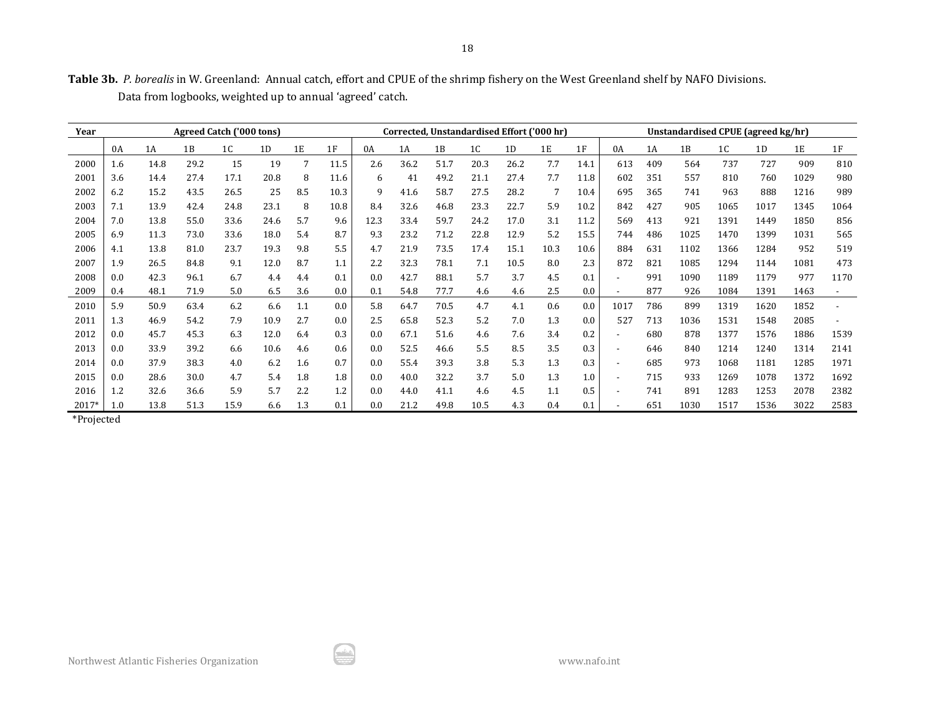|  | Table 3b. P. borealis in W. Greenland: Annual catch, effort and CPUE of the shrimp fishery on the West Greenland shelf by NAFO Divisions. |  |  |
|--|-------------------------------------------------------------------------------------------------------------------------------------------|--|--|
|  | Data from logbooks, weighted up to annual 'agreed' catch.                                                                                 |  |  |

| Year  | Agreed Catch ('000 tons) |      |      |      |      |     | Corrected, Unstandardised Effort ('000 hr) |      |      |      |      |      |      |      | Unstandardised CPUE (agreed kg/hr) |     |      |                |      |      |      |
|-------|--------------------------|------|------|------|------|-----|--------------------------------------------|------|------|------|------|------|------|------|------------------------------------|-----|------|----------------|------|------|------|
|       | 0A                       | 1A   | 1B   | 1C   | 1D   | 1E  | 1F                                         | 0A   | 1A   | 1B   | 1C   | 1D   | 1E   | 1F   | 0A                                 | 1A  | 1B   | 1 <sub>C</sub> | 1D   | 1E   | 1F   |
| 2000  | 1.6                      | 14.8 | 29.2 | 15   | 19   | 7   | 11.5                                       | 2.6  | 36.2 | 51.7 | 20.3 | 26.2 | 7.7  | 14.1 | 613                                | 409 | 564  | 737            | 727  | 909  | 810  |
| 2001  | 3.6                      | 14.4 | 27.4 | 17.1 | 20.8 | 8   | 11.6                                       | 6    | 41   | 49.2 | 21.1 | 27.4 | 7.7  | 11.8 | 602                                | 351 | 557  | 810            | 760  | 1029 | 980  |
| 2002  | 6.2                      | 15.2 | 43.5 | 26.5 | 25   | 8.5 | 10.3                                       | 9    | 41.6 | 58.7 | 27.5 | 28.2 | 7    | 10.4 | 695                                | 365 | 741  | 963            | 888  | 1216 | 989  |
| 2003  | 7.1                      | 13.9 | 42.4 | 24.8 | 23.1 | 8   | 10.8                                       | 8.4  | 32.6 | 46.8 | 23.3 | 22.7 | 5.9  | 10.2 | 842                                | 427 | 905  | 1065           | 1017 | 1345 | 1064 |
| 2004  | 7.0                      | 13.8 | 55.0 | 33.6 | 24.6 | 5.7 | 9.6                                        | 12.3 | 33.4 | 59.7 | 24.2 | 17.0 | 3.1  | 11.2 | 569                                | 413 | 921  | 1391           | 1449 | 1850 | 856  |
| 2005  | 6.9                      | 11.3 | 73.0 | 33.6 | 18.0 | 5.4 | 8.7                                        | 9.3  | 23.2 | 71.2 | 22.8 | 12.9 | 5.2  | 15.5 | 744                                | 486 | 1025 | 1470           | 1399 | 1031 | 565  |
| 2006  | 4.1                      | 13.8 | 81.0 | 23.7 | 19.3 | 9.8 | 5.5                                        | 4.7  | 21.9 | 73.5 | 17.4 | 15.1 | 10.3 | 10.6 | 884                                | 631 | 1102 | 1366           | 1284 | 952  | 519  |
| 2007  | 1.9                      | 26.5 | 84.8 | 9.1  | 12.0 | 8.7 | 1.1                                        | 2.2  | 32.3 | 78.1 | 7.1  | 10.5 | 8.0  | 2.3  | 872                                | 821 | 1085 | 1294           | 1144 | 1081 | 473  |
| 2008  | 0.0                      | 42.3 | 96.1 | 6.7  | 4.4  | 4.4 | 0.1                                        | 0.0  | 42.7 | 88.1 | 5.7  | 3.7  | 4.5  | 0.1  | $\overline{\phantom{a}}$           | 991 | 1090 | 1189           | 1179 | 977  | 1170 |
| 2009  | 0.4                      | 48.1 | 71.9 | 5.0  | 6.5  | 3.6 | 0.0                                        | 0.1  | 54.8 | 77.7 | 4.6  | 4.6  | 2.5  | 0.0  | $\overline{\phantom{a}}$           | 877 | 926  | 1084           | 1391 | 1463 |      |
| 2010  | 5.9                      | 50.9 | 63.4 | 6.2  | 6.6  | 1.1 | 0.0                                        | 5.8  | 64.7 | 70.5 | 4.7  | 4.1  | 0.6  | 0.0  | 1017                               | 786 | 899  | 1319           | 1620 | 1852 |      |
| 2011  | 1.3                      | 46.9 | 54.2 | 7.9  | 10.9 | 2.7 | 0.0                                        | 2.5  | 65.8 | 52.3 | 5.2  | 7.0  | 1.3  | 0.0  | 527                                | 713 | 1036 | 1531           | 1548 | 2085 |      |
| 2012  | 0.0                      | 45.7 | 45.3 | 6.3  | 12.0 | 6.4 | 0.3                                        | 0.0  | 67.1 | 51.6 | 4.6  | 7.6  | 3.4  | 0.2  | $\overline{\phantom{0}}$           | 680 | 878  | 1377           | 1576 | 1886 | 1539 |
| 2013  | 0.0                      | 33.9 | 39.2 | 6.6  | 10.6 | 4.6 | 0.6                                        | 0.0  | 52.5 | 46.6 | 5.5  | 8.5  | 3.5  | 0.3  | $\overline{\phantom{a}}$           | 646 | 840  | 1214           | 1240 | 1314 | 2141 |
| 2014  | 0.0                      | 37.9 | 38.3 | 4.0  | 6.2  | 1.6 | 0.7                                        | 0.0  | 55.4 | 39.3 | 3.8  | 5.3  | 1.3  | 0.3  | $\overline{\phantom{a}}$           | 685 | 973  | 1068           | 1181 | 1285 | 1971 |
| 2015  | 0.0                      | 28.6 | 30.0 | 4.7  | 5.4  | 1.8 | 1.8                                        | 0.0  | 40.0 | 32.2 | 3.7  | 5.0  | 1.3  | 1.0  | $\overline{\phantom{a}}$           | 715 | 933  | 1269           | 1078 | 1372 | 1692 |
| 2016  | 1.2                      | 32.6 | 36.6 | 5.9  | 5.7  | 2.2 | 1.2                                        | 0.0  | 44.0 | 41.1 | 4.6  | 4.5  | 1.1  | 0.5  | $\overline{\phantom{a}}$           | 741 | 891  | 1283           | 1253 | 2078 | 2382 |
| 2017* | 1.0                      | 13.8 | 51.3 | 15.9 | 6.6  | 1.3 | 0.1                                        | 0.0  | 21.2 | 49.8 | 10.5 | 4.3  | 0.4  | 0.1  |                                    | 651 | 1030 | 1517           | 1536 | 3022 | 2583 |

\*Projected

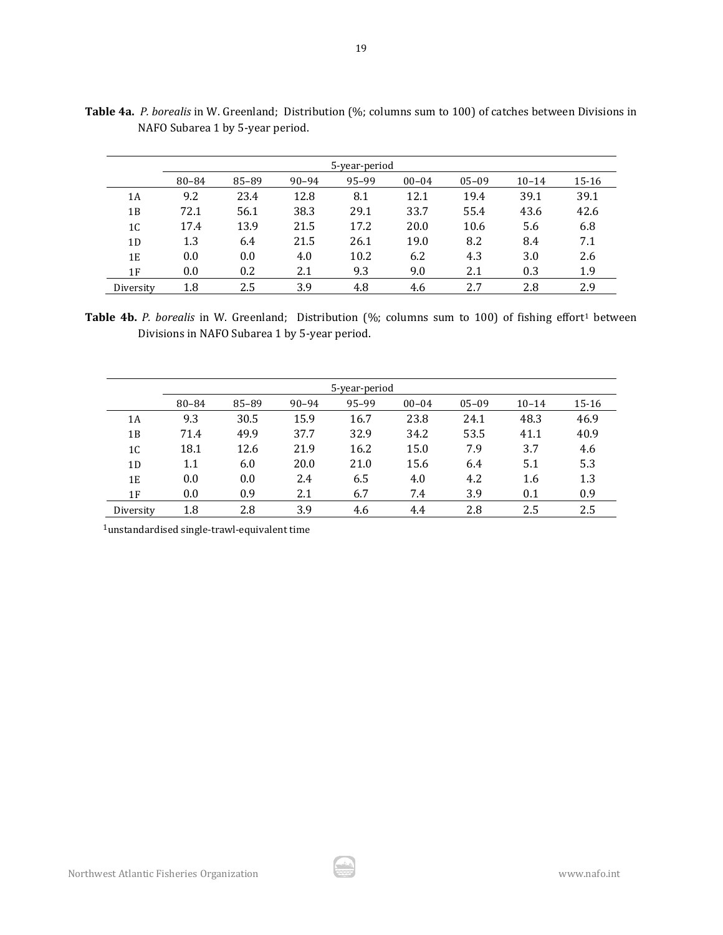|           |       |       |           | 5-year-period |           |           |           |       |
|-----------|-------|-------|-----------|---------------|-----------|-----------|-----------|-------|
|           | 80-84 | 85-89 | $90 - 94$ | 95-99         | $00 - 04$ | $05 - 09$ | $10 - 14$ | 15-16 |
| 1Α        | 9.2   | 23.4  | 12.8      | 8.1           | 12.1      | 19.4      | 39.1      | 39.1  |
| 1В        | 72.1  | 56.1  | 38.3      | 29.1          | 33.7      | 55.4      | 43.6      | 42.6  |
| 1C        | 17.4  | 13.9  | 21.5      | 17.2          | 20.0      | 10.6      | 5.6       | 6.8   |
| 1D        | 1.3   | 6.4   | 21.5      | 26.1          | 19.0      | 8.2       | 8.4       | 7.1   |
| 1E        | 0.0   | 0.0   | 4.0       | 10.2          | 6.2       | 4.3       | 3.0       | 2.6   |
| 1F        | 0.0   | 0.2   | 2.1       | 9.3           | 9.0       | 2.1       | 0.3       | 1.9   |
| Diversity | 1.8   | 2.5   | 3.9       | 4.8           | 4.6       | 2.7       | 2.8       | 2.9   |

**Table 4a.** *P. borealis* in W. Greenland; Distribution (%; columns sum to 100) of catches between Divisions in NAFO Subarea 1 by 5-year period.

Table 4b. P. borealis in W. Greenland; Distribution (%; columns sum to 100) of fishing effort<sup>1</sup> between Divisions in NAFO Subarea 1 by 5-year period.

|                |       |       |           | 5-year-period |           |           |           |       |
|----------------|-------|-------|-----------|---------------|-----------|-----------|-----------|-------|
|                | 80-84 | 85-89 | $90 - 94$ | 95-99         | $00 - 04$ | $05 - 09$ | $10 - 14$ | 15-16 |
| 1A             | 9.3   | 30.5  | 15.9      | 16.7          | 23.8      | 24.1      | 48.3      | 46.9  |
| 1B             | 71.4  | 49.9  | 37.7      | 32.9          | 34.2      | 53.5      | 41.1      | 40.9  |
| 1 <sub>C</sub> | 18.1  | 12.6  | 21.9      | 16.2          | 15.0      | 7.9       | 3.7       | 4.6   |
| 1D             | 1.1   | 6.0   | 20.0      | 21.0          | 15.6      | 6.4       | 5.1       | 5.3   |
| 1E             | 0.0   | 0.0   | 2.4       | 6.5           | 4.0       | 4.2       | 1.6       | 1.3   |
| 1F             | 0.0   | 0.9   | 2.1       | 6.7           | 7.4       | 3.9       | 0.1       | 0.9   |
| Diversity      | 1.8   | 2.8   | 3.9       | 4.6           | 4.4       | 2.8       | 2.5       | 2.5   |

1unstandardised single-trawl-equivalent time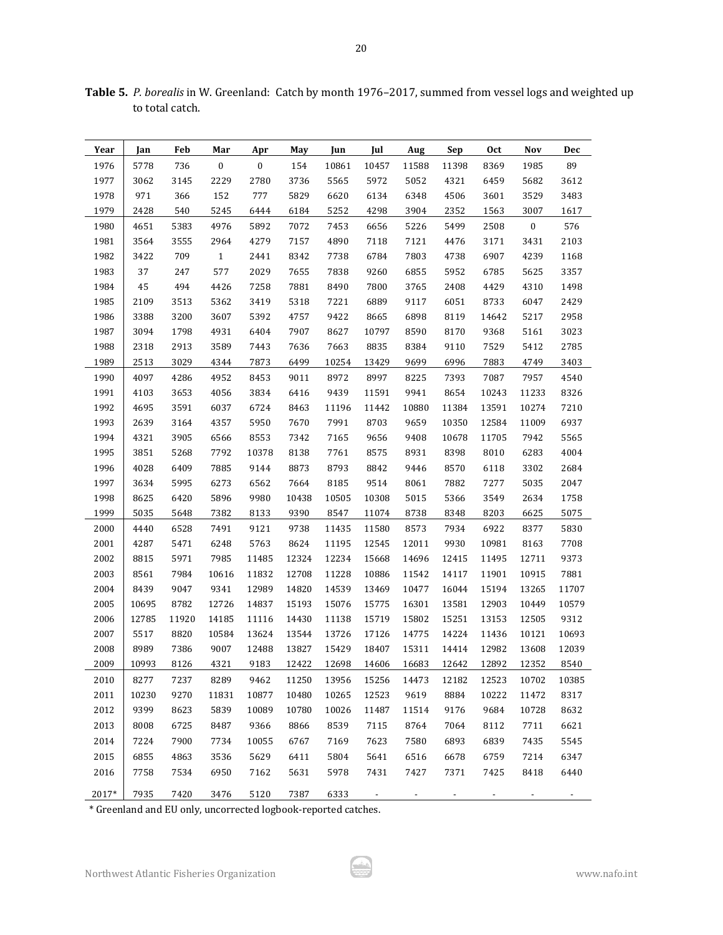| Year  | Jan   | Feb   | Mar          | Apr      | May   | Jun   | Jul   | Aug                                 | Sep   | Oct   | Nov      | Dec   |
|-------|-------|-------|--------------|----------|-------|-------|-------|-------------------------------------|-------|-------|----------|-------|
| 1976  | 5778  | 736   | $\bf{0}$     | $\bf{0}$ | 154   | 10861 | 10457 | 11588                               | 11398 | 8369  | 1985     | 89    |
| 1977  | 3062  | 3145  | 2229         | 2780     | 3736  | 5565  | 5972  | 5052                                | 4321  | 6459  | 5682     | 3612  |
| 1978  | 971   | 366   | 152          | 777      | 5829  | 6620  | 6134  | 6348                                | 4506  | 3601  | 3529     | 3483  |
| 1979  | 2428  | 540   | 5245         | 6444     | 6184  | 5252  | 4298  | 3904                                | 2352  | 1563  | 3007     | 1617  |
| 1980  | 4651  | 5383  | 4976         | 5892     | 7072  | 7453  | 6656  | 5226                                | 5499  | 2508  | $\bf{0}$ | 576   |
| 1981  | 3564  | 3555  | 2964         | 4279     | 7157  | 4890  | 7118  | 7121                                | 4476  | 3171  | 3431     | 2103  |
| 1982  | 3422  | 709   | $\mathbf{1}$ | 2441     | 8342  | 7738  | 6784  | 7803                                | 4738  | 6907  | 4239     | 1168  |
| 1983  | 37    | 247   | 577          | 2029     | 7655  | 7838  | 9260  | 6855                                | 5952  | 6785  | 5625     | 3357  |
| 1984  | 45    | 494   | 4426         | 7258     | 7881  | 8490  | 7800  | 3765                                | 2408  | 4429  | 4310     | 1498  |
| 1985  | 2109  | 3513  | 5362         | 3419     | 5318  | 7221  | 6889  | 9117                                | 6051  | 8733  | 6047     | 2429  |
| 1986  | 3388  | 3200  | 3607         | 5392     | 4757  | 9422  | 8665  | 6898                                | 8119  | 14642 | 5217     | 2958  |
| 1987  | 3094  | 1798  | 4931         | 6404     | 7907  | 8627  | 10797 | 8590                                | 8170  | 9368  | 5161     | 3023  |
| 1988  | 2318  | 2913  | 3589         | 7443     | 7636  | 7663  | 8835  | 8384                                | 9110  | 7529  | 5412     | 2785  |
| 1989  | 2513  | 3029  | 4344         | 7873     | 6499  | 10254 | 13429 | 9699                                | 6996  | 7883  | 4749     | 3403  |
| 1990  | 4097  | 4286  | 4952         | 8453     | 9011  | 8972  | 8997  | 8225                                | 7393  | 7087  | 7957     | 4540  |
| 1991  | 4103  | 3653  | 4056         | 3834     | 6416  | 9439  | 11591 | 9941                                | 8654  | 10243 | 11233    | 8326  |
| 1992  | 4695  | 3591  | 6037         | 6724     | 8463  | 11196 | 11442 | 10880                               | 11384 | 13591 | 10274    | 7210  |
| 1993  | 2639  | 3164  | 4357         | 5950     | 7670  | 7991  | 8703  | 9659                                | 10350 | 12584 | 11009    | 6937  |
| 1994  | 4321  | 3905  | 6566         | 8553     | 7342  | 7165  | 9656  | 9408                                | 10678 | 11705 | 7942     | 5565  |
| 1995  | 3851  | 5268  | 7792         | 10378    | 8138  | 7761  | 8575  | 8931                                | 8398  | 8010  | 6283     | 4004  |
| 1996  | 4028  | 6409  | 7885         | 9144     | 8873  | 8793  | 8842  | 9446                                | 8570  | 6118  | 3302     | 2684  |
| 1997  | 3634  | 5995  | 6273         | 6562     | 7664  | 8185  | 9514  | 8061                                | 7882  | 7277  | 5035     | 2047  |
| 1998  | 8625  | 6420  | 5896         | 9980     | 10438 | 10505 | 10308 | 5015                                | 5366  | 3549  | 2634     | 1758  |
| 1999  | 5035  | 5648  | 7382         | 8133     | 9390  | 8547  | 11074 | 8738                                | 8348  | 8203  | 6625     | 5075  |
| 2000  | 4440  | 6528  | 7491         | 9121     | 9738  | 11435 | 11580 | 8573                                | 7934  | 6922  | 8377     | 5830  |
| 2001  | 4287  | 5471  | 6248         | 5763     | 8624  | 11195 | 12545 | 12011                               | 9930  | 10981 | 8163     | 7708  |
| 2002  | 8815  | 5971  | 7985         | 11485    | 12324 | 12234 | 15668 | 14696                               | 12415 | 11495 | 12711    | 9373  |
| 2003  | 8561  | 7984  | 10616        | 11832    | 12708 | 11228 | 10886 | 11542                               | 14117 | 11901 | 10915    | 7881  |
| 2004  | 8439  | 9047  | 9341         | 12989    | 14820 | 14539 | 13469 | 10477                               | 16044 | 15194 | 13265    | 11707 |
| 2005  | 10695 | 8782  | 12726        | 14837    | 15193 | 15076 | 15775 | 16301                               | 13581 | 12903 | 10449    | 10579 |
| 2006  | 12785 | 11920 | 14185        | 11116    | 14430 | 11138 | 15719 | 15802                               | 15251 | 13153 | 12505    | 9312  |
| 2007  | 5517  | 8820  | 10584        | 13624    | 13544 | 13726 | 17126 | 14775                               | 14224 | 11436 | 10121    | 10693 |
| 2008  | 8989  | 7386  | 9007         | 12488    | 13827 | 15429 | 18407 | 15311                               | 14414 | 12982 | 13608    | 12039 |
| 2009  | 10993 | 8126  | 4321         | 9183     | 12422 |       |       | 12698 14606 16683 12642 12892 12352 |       |       |          | 8540  |
| 2010  | 8277  | 7237  | 8289         | 9462     | 11250 | 13956 | 15256 | 14473                               | 12182 | 12523 | 10702    | 10385 |
| 2011  | 10230 | 9270  | 11831        | 10877    | 10480 | 10265 | 12523 | 9619                                | 8884  | 10222 | 11472    | 8317  |
| 2012  | 9399  | 8623  | 5839         | 10089    | 10780 | 10026 | 11487 | 11514                               | 9176  | 9684  | 10728    | 8632  |
| 2013  | 8008  | 6725  | 8487         | 9366     | 8866  | 8539  | 7115  | 8764                                | 7064  | 8112  | 7711     | 6621  |
| 2014  | 7224  | 7900  | 7734         | 10055    | 6767  | 7169  | 7623  | 7580                                | 6893  | 6839  | 7435     | 5545  |
| 2015  | 6855  | 4863  | 3536         | 5629     | 6411  | 5804  | 5641  | 6516                                | 6678  | 6759  | 7214     | 6347  |
| 2016  | 7758  | 7534  | 6950         | 7162     | 5631  | 5978  | 7431  | 7427                                | 7371  | 7425  | 8418     | 6440  |
| 2017* | 7935  | 7420  | 3476         | 5120     | 7387  | 6333  |       |                                     |       |       |          |       |

**Table 5.** *P. borealis* in W. Greenland: Catch by month 1976–2017, summed from vessel logs and weighted up to total catch.

\* Greenland and EU only, uncorrected logbook-reported catches.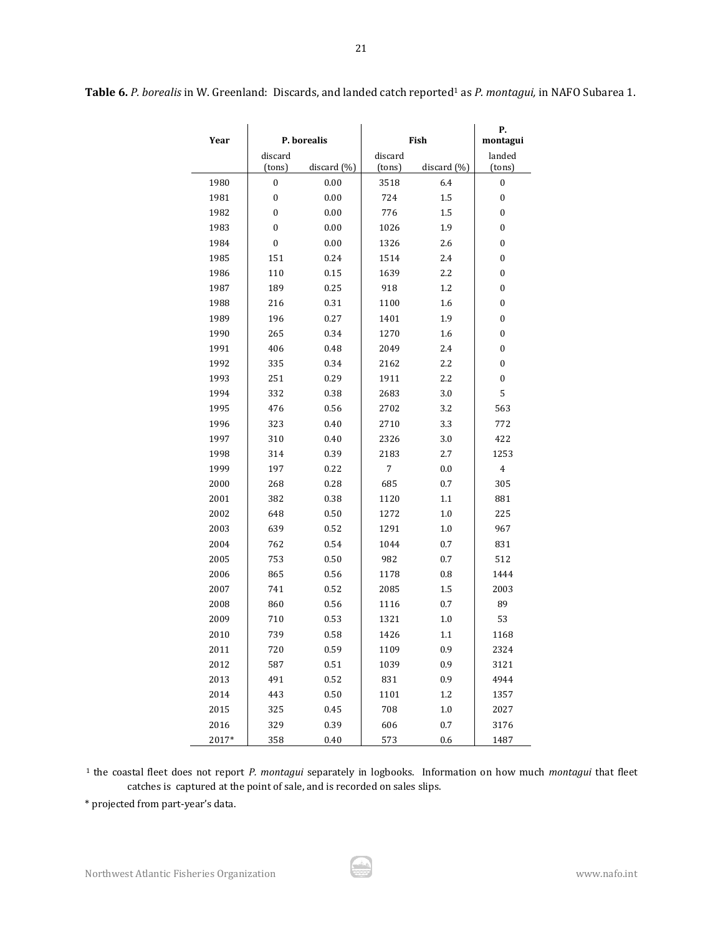| Year  |                  | P. borealis     |         | Fish            | Р.<br>montagui   |
|-------|------------------|-----------------|---------|-----------------|------------------|
|       | discard          |                 | discard |                 | landed           |
|       | (tons)           | discard $(\% )$ | (tons)  | discard $(\% )$ | (tons)           |
| 1980  | 0                | 0.00            | 3518    | 6.4             | 0                |
| 1981  | $\boldsymbol{0}$ | 0.00            | 724     | 1.5             | 0                |
| 1982  | $\boldsymbol{0}$ | 0.00            | 776     | $1.5\,$         | $\bf{0}$         |
| 1983  | 0                | 0.00            | 1026    | 1.9             | $\bf{0}$         |
| 1984  | $\boldsymbol{0}$ | 0.00            | 1326    | 2.6             | 0                |
| 1985  | 151              | 0.24            | 1514    | 2.4             | 0                |
| 1986  | 110              | 0.15            | 1639    | $2.2\,$         | $\bf{0}$         |
| 1987  | 189              | 0.25            | 918     | 1.2             | 0                |
| 1988  | 216              | 0.31            | 1100    | 1.6             | 0                |
| 1989  | 196              | 0.27            | 1401    | 1.9             | $\bf{0}$         |
| 1990  | 265              | 0.34            | 1270    | 1.6             | $\bf{0}$         |
| 1991  | 406              | 0.48            | 2049    | 2.4             | $\boldsymbol{0}$ |
| 1992  | 335              | 0.34            | 2162    | $2.2\,$         | 0                |
| 1993  | 251              | 0.29            | 1911    | $2.2\,$         | $\bf{0}$         |
| 1994  | 332              | 0.38            | 2683    | 3.0             | 5                |
| 1995  | 476              | 0.56            | 2702    | 3.2             | 563              |
| 1996  | 323              | 0.40            | 2710    | 3.3             | 772              |
| 1997  | 310              | 0.40            | 2326    | 3.0             | 422              |
| 1998  | 314              | 0.39            | 2183    | 2.7             | 1253             |
| 1999  | 197              | 0.22            | 7       | 0.0             | $\overline{4}$   |
| 2000  | 268              | 0.28            | 685     | 0.7             | 305              |
| 2001  | 382              | 0.38            | 1120    | $1.1\,$         | 881              |
| 2002  | 648              | 0.50            | 1272    | 1.0             | 225              |
| 2003  | 639              | 0.52            | 1291    | 1.0             | 967              |
| 2004  | 762              | 0.54            | 1044    | 0.7             | 831              |
| 2005  | 753              | 0.50            | 982     | 0.7             | 512              |
| 2006  | 865              | 0.56            | 1178    | 0.8             | 1444             |
| 2007  | 741              | 0.52            | 2085    | 1.5             | 2003             |
| 2008  | 860              | 0.56            | 1116    | 0.7             | 89               |
| 2009  | 710              | 0.53            | 1321    | 1.0             | 53               |
| 2010  | 739              | 0.58            | 1426    | 1.1             | 1168             |
| 2011  | 720              | 0.59            | 1109    | 0.9             | 2324             |
| 2012  | 587              | 0.51            | 1039    | 0.9             | 3121             |
| 2013  | 491              | 0.52            | 831     | 0.9             | 4944             |
| 2014  | 443              | 0.50            | 1101    | 1.2             | 1357             |
| 2015  | 325              | 0.45            | 708     | $1.0\,$         | 2027             |
| 2016  | 329              | 0.39            | 606     | 0.7             | 3176             |
| 2017* | 358              | 0.40            | 573     | 0.6             | 1487             |

Table 6. *P. borealis* in W. Greenland: Discards, and landed catch reported<sup>1</sup> as *P. montagui*, in NAFO Subarea 1.

 the coastal fleet does not report *P. montagui* separately in logbooks. Information on how much *montagui* that fleet catches is captured at the point of sale, and is recorded on sales slips.

\* projected from part-year's data.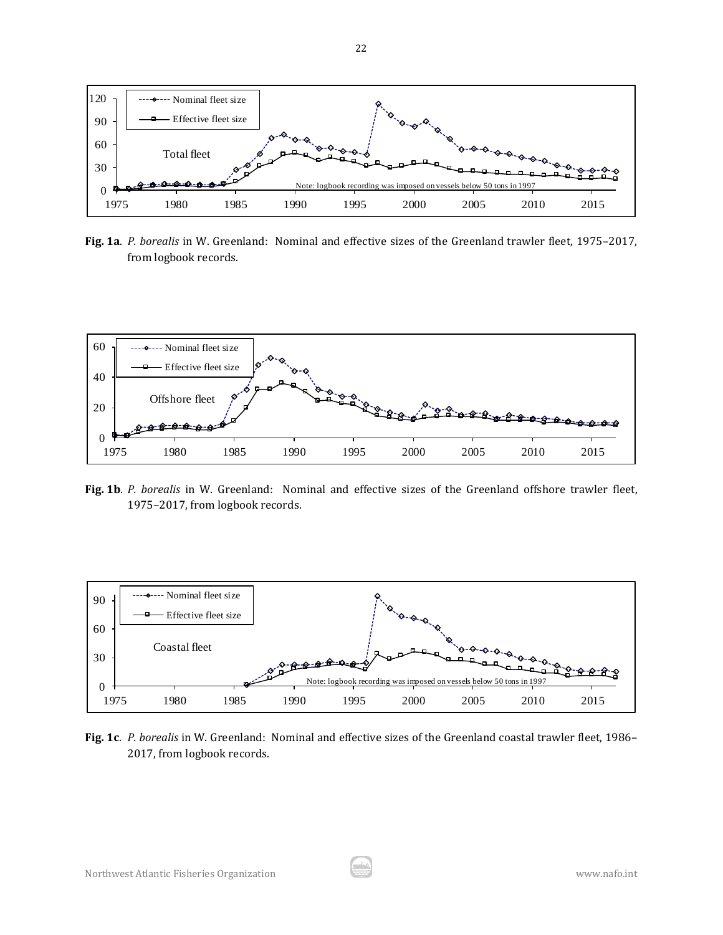

**Fig. 1a**. *P. borealis* in W. Greenland: Nominal and effective sizes of the Greenland trawler fleet, 1975–2017, from logbook records.



**Fig. 1b**. *P. borealis* in W. Greenland: Nominal and effective sizes of the Greenland offshore trawler fleet, 1975–2017, from logbook records.



**Fig. 1c**. *P. borealis* in W. Greenland: Nominal and effective sizes of the Greenland coastal trawler fleet, 1986– 2017, from logbook records.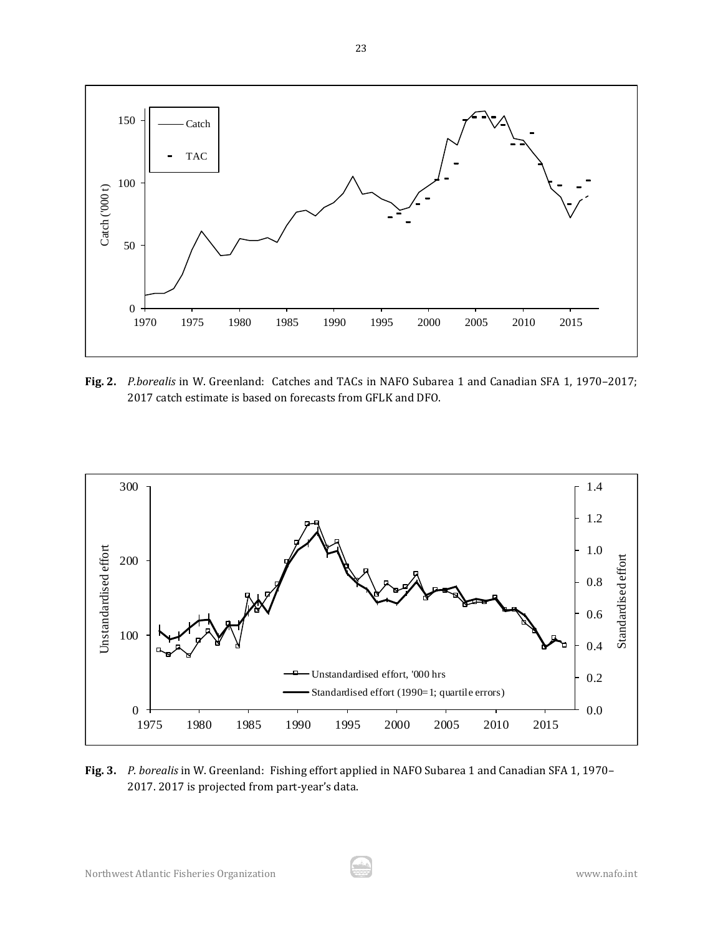

**Fig. 2.** *P.borealis* in W. Greenland: Catches and TACs in NAFO Subarea 1 and Canadian SFA 1, 1970–2017; 2017 catch estimate is based on forecasts from GFLK and DFO.



**Fig. 3.** *P. borealis* in W. Greenland: Fishing effort applied in NAFO Subarea 1 and Canadian SFA 1, 1970– 2017. 2017 is projected from part-year's data.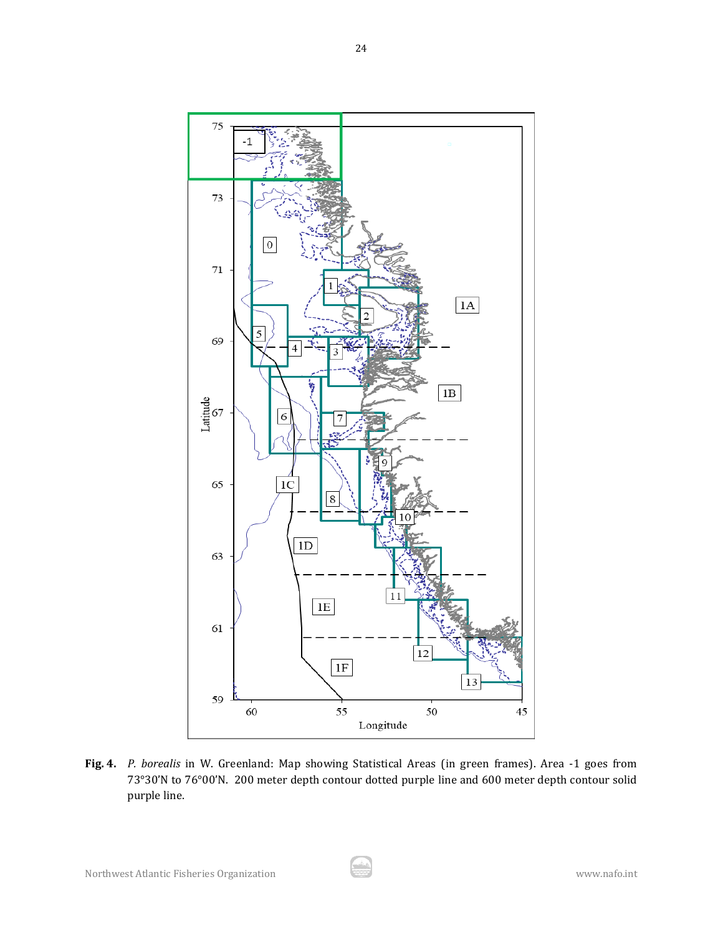

**Fig. 4.** *P. borealis* in W. Greenland: Map showing Statistical Areas (in green frames). Area -1 goes from 73°30'N to 76°00'N. 200 meter depth contour dotted purple line and 600 meter depth contour solid purple line.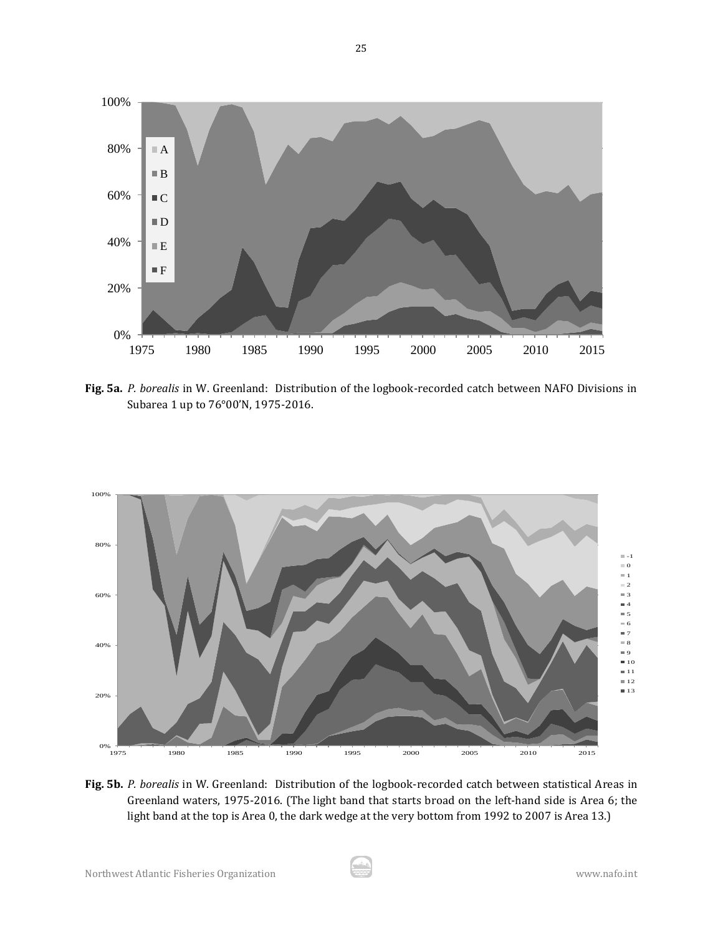

**Fig. 5a.** *P. borealis* in W. Greenland: Distribution of the logbook-recorded catch between NAFO Divisions in Subarea 1 up to 76°00'N, 1975-2016.



**Fig. 5b.** *P. borealis* in W. Greenland: Distribution of the logbook-recorded catch between statistical Areas in Greenland waters, 1975-2016. (The light band that starts broad on the left-hand side is Area 6; the light band at the top is Area 0, the dark wedge at the very bottom from 1992 to 2007 is Area 13.)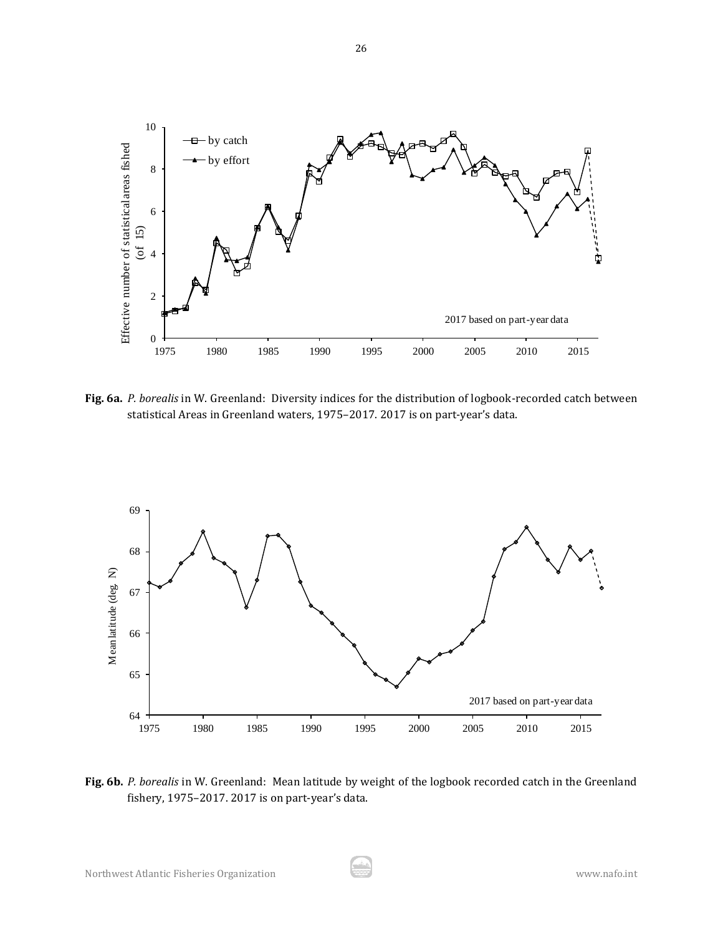

**Fig. 6a.** *P. borealis* in W. Greenland: Diversity indices for the distribution of logbook-recorded catch between statistical Areas in Greenland waters, 1975–2017. 2017 is on part-year's data.



**Fig. 6b.** *P. borealis* in W. Greenland: Mean latitude by weight of the logbook recorded catch in the Greenland fishery, 1975–2017. 2017 is on part-year's data.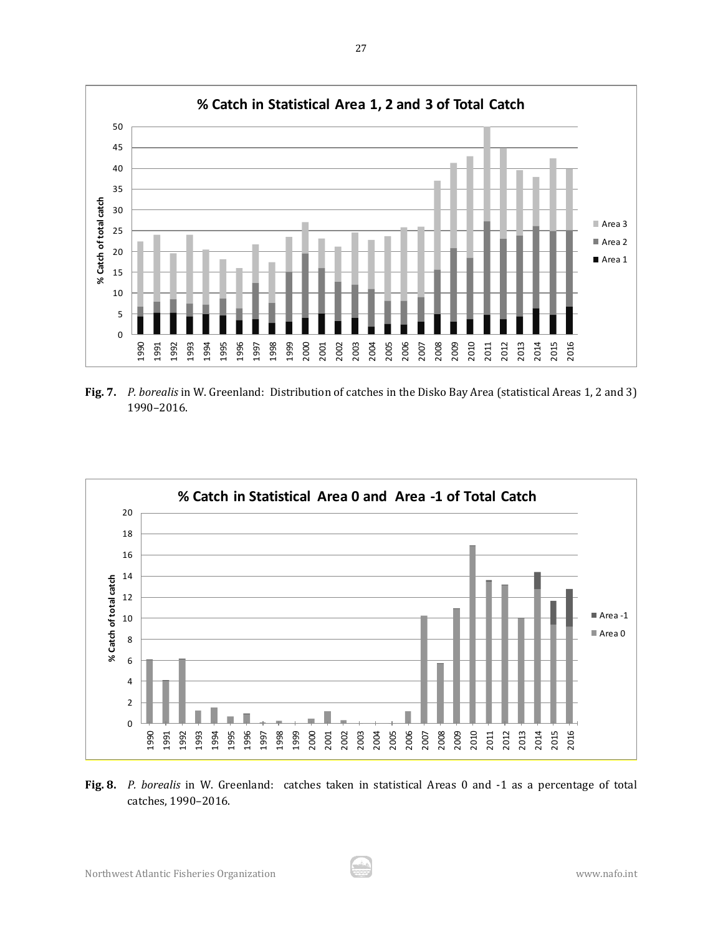

**Fig. 7.** *P. borealis* in W. Greenland: Distribution of catches in the Disko Bay Area (statistical Areas 1, 2 and 3) 1990–2016.



**Fig. 8.** *P. borealis* in W. Greenland: catches taken in statistical Areas 0 and -1 as a percentage of total catches, 1990–2016.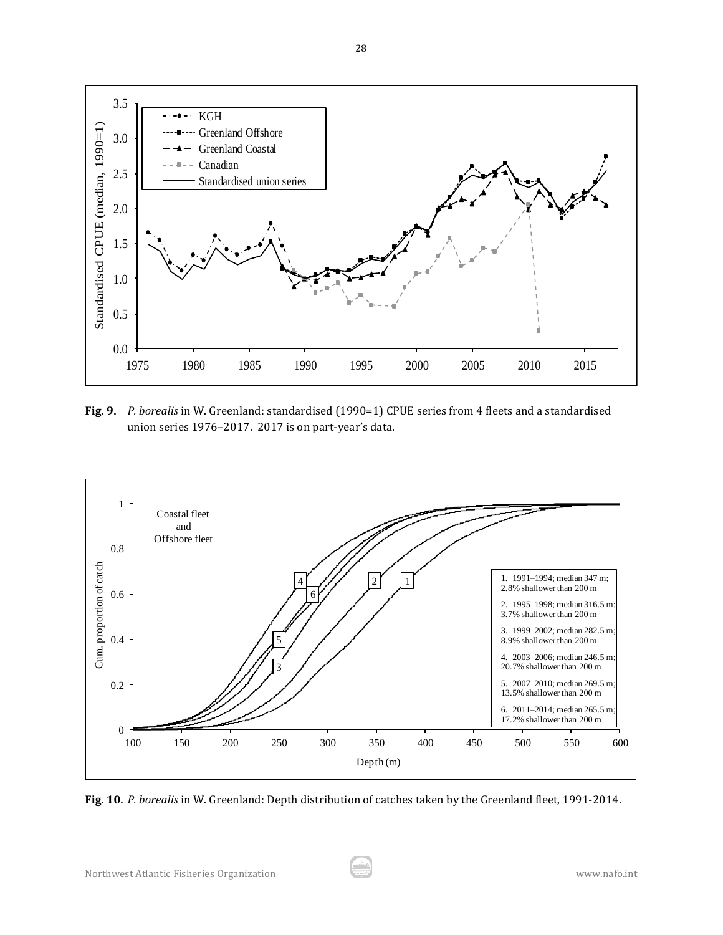

**Fig. 9.** *P. borealis* in W. Greenland: standardised (1990=1) CPUE series from 4 fleets and a standardised union series 1976–2017. 2017 is on part-year's data.



**Fig. 10.** *P. borealis* in W. Greenland: Depth distribution of catches taken by the Greenland fleet, 1991-2014.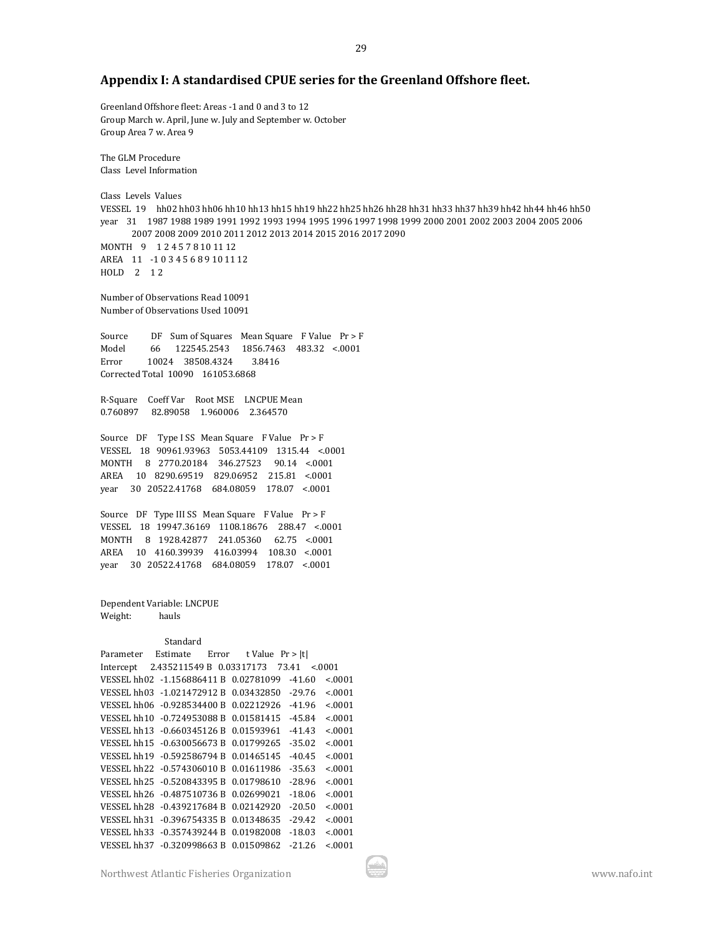# **Appendix I: A standardised CPUE series for the Greenland Offshore fleet.**

Greenland Offshore fleet: Areas -1 and 0 and 3 to 12 Group March w. April, June w. July and September w. October Group Area 7 w. Area 9

The GLM Procedure Class Level Information

Class Levels Values VESSEL 19 hh02 hh03 hh06 hh10 hh13 hh15 hh19 hh22 hh25 hh26 hh28 hh31 hh33 hh37 hh39 hh42 hh44 hh46 hh50 year 31 1987 1988 1989 1991 1992 1993 1994 1995 1996 1997 1998 1999 2000 2001 2002 2003 2004 2005 2006 2007 2008 2009 2010 2011 2012 2013 2014 2015 2016 2017 2090 MONTH 9 124578101112 AREA 11 -1 0 3 4 5 6 8 9 10 11 12 HOLD 2 12

Number of Observations Read 10091 Number of Observations Used 10091

Source DF Sum of Squares Mean Square F Value Pr > F Model 66 122545.2543 1856.7463 483.32 <.0001 Error 10024 38508.4324 3.8416 Corrected Total 10090 161053.6868

R-Square Coeff Var Root MSE LNCPUE Mean 0.760897 82.89058 1.960006 2.364570

Source DF Type I SS Mean Square F Value Pr > F VESSEL 18 90961.93963 5053.44109 1315.44 <.0001 MONTH 8 2770.20184 346.27523 90.14 <.0001 AREA 10 8290.69519 829.06952 215.81 <.0001 year 30 20522.41768 684.08059 178.07 <.0001

Source DF Type III SS Mean Square F Value Pr > F VESSEL 18 19947.36169 1108.18676 288.47 <.0001 MONTH 8 1928.42877 241.05360 62.75 <.0001 AREA 10 4160.39939 416.03994 108.30 <.0001 year 30 20522.41768 684.08059 178.07 <.0001

Dependent Variable: LNCPUE Weight: hauls

#### Standard

Parameter Estimate Error t Value Pr > |t| Intercept 2.435211549 B 0.03317173 73.41 <.0001 VESSEL hh02 -1.156886411 B 0.02781099 -41.60 <.0001 VESSEL hh03 -1.021472912 B 0.03432850 -29.76 <.0001 VESSEL hh06 -0.928534400 B 0.02212926 -41.96 <.0001 VESSEL hh10 -0.724953088 B 0.01581415 -45.84 <.0001 VESSEL hh13 -0.660345126 B 0.01593961 -41.43 <.0001 VESSEL hh15 -0.630056673 B 0.01799265 -35.02 <.0001 VESSEL hh19 -0.592586794 B 0.01465145 -40.45 <.0001 VESSEL hh22 -0.574306010 B 0.01611986 -35.63 <.0001 VESSEL hh25 -0.520843395 B 0.01798610 -28.96 <.0001 VESSEL hh26 -0.487510736 B 0.02699021 -18.06 <.0001 VESSEL hh28 -0.439217684 B 0.02142920 -20.50 <.0001 VESSEL hh31 -0.396754335 B 0.01348635 -29.42 <.0001 VESSEL hh33 -0.357439244 B 0.01982008 -18.03 <.0001 VESSEL hh37 -0.320998663 B 0.01509862 -21.26 <.0001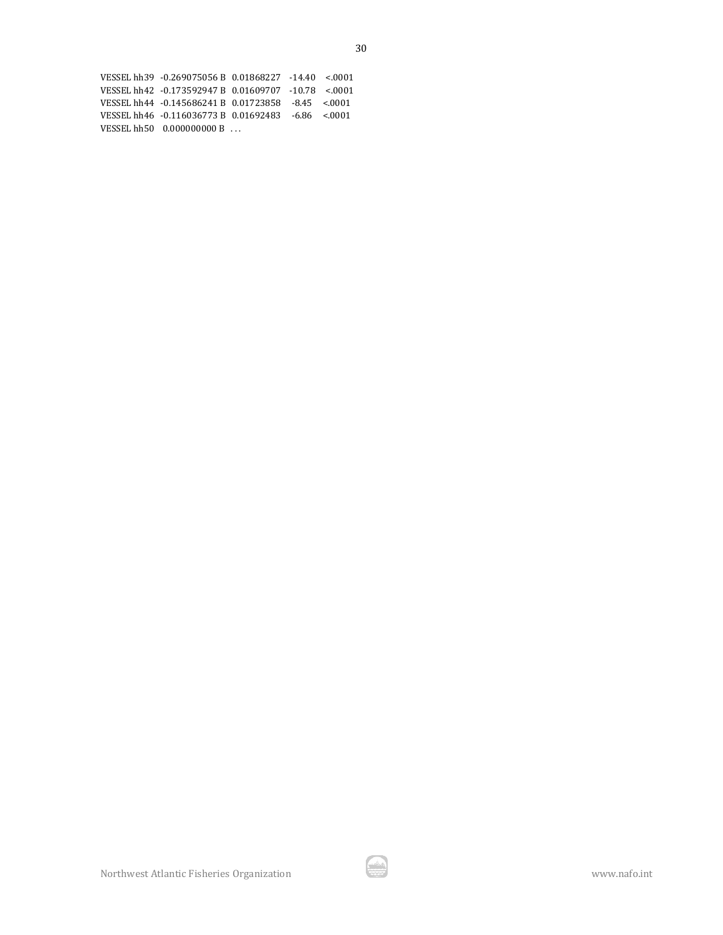| VESSEL hh39 -0.269075056 B 0.01868227 -14.40 <.0001 |  |  |
|-----------------------------------------------------|--|--|
| VESSEL hh42 -0.173592947 B 0.01609707 -10.78 < 0001 |  |  |
| VESSEL hh44 -0.145686241 B 0.01723858 -8.45 < 0001  |  |  |
| VESSEL hh46 -0.116036773 B 0.01692483 -6.86 <.0001  |  |  |
| VESSEL hh50 0.000000000 B                           |  |  |

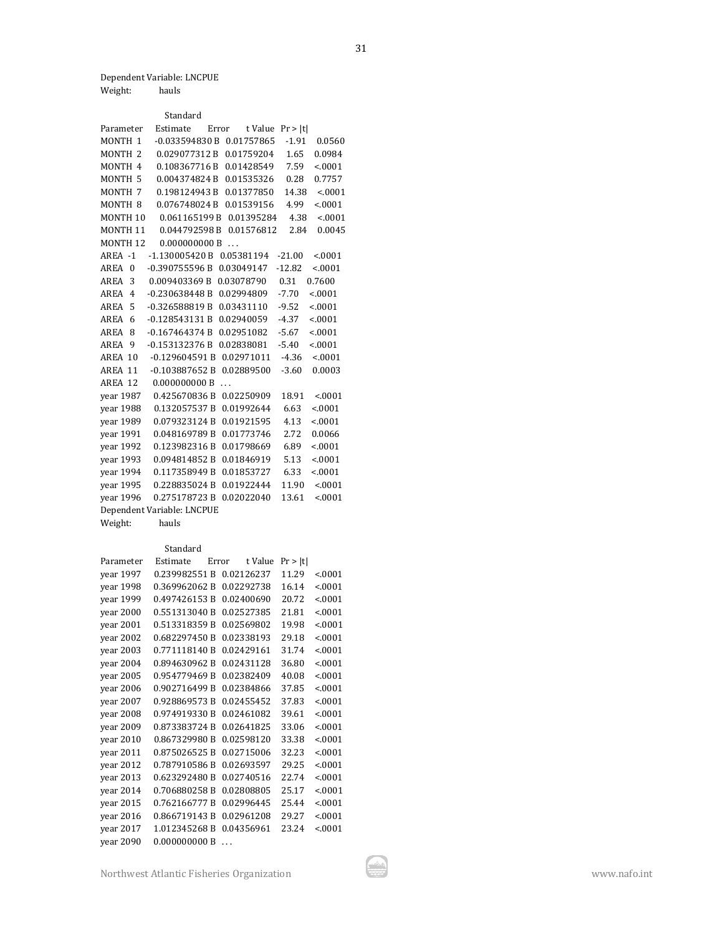Dependent Variable: LNCPUE

| hauls |
|-------|
|       |

|                         | Standard                   |                  |          |         |
|-------------------------|----------------------------|------------------|----------|---------|
| Parameter               | Estimate                   | Error<br>t Value | Pr >  t  |         |
| MONTH <sub>1</sub>      | $-0.033594830B$            | 0.01757865       | $-1.91$  | 0.0560  |
| MONTH <sub>2</sub>      | 0.029077312B               | 0.01759204       | 1.65     | 0.0984  |
| MONTH 4                 | 0.108367716B               | 0.01428549       | 7.59     | < .0001 |
| MONTH <sub>5</sub>      | 0.004374824 B              | 0.01535326       | 0.28     | 0.7757  |
| MONTH <sub>7</sub>      | 0.198124943B               | 0.01377850       | 14.38    | < .0001 |
| MONTH <sub>8</sub>      | 0.076748024 B              | 0.01539156       | 4.99     | < 0.001 |
| MONTH <sub>10</sub>     | 0.061165199B               | 0.01395284       | 4.38     | < 0001  |
| MONTH <sub>11</sub>     | 0.044792598B               | 0.01576812       | 2.84     | 0.0045  |
| <b>MONTH12</b>          | 0.000000000B               | $\ddotsc$        |          |         |
| AREA -1                 | -1.130005420 B             | 0.05381194       | $-21.00$ | < 0001  |
| <b>AREA</b><br>$\theta$ | $-0.390755596B$            | 0.03049147       | $-12.82$ | < .0001 |
| AREA<br>3               | 0.009403369 B              | 0.03078790       | 0.31     | 0.7600  |
| AREA<br>$\overline{4}$  | $-0.230638448B$            | 0.02994809       | $-7.70$  | < 0001  |
| 5<br>AREA               | $-0.326588819B$            | 0.03431110       | $-9.52$  | < .0001 |
| AREA<br>6               | $-0.128543131B$            | 0.02940059       | $-4.37$  | < .0001 |
| <b>AREA</b><br>8        | $-0.167464374B$            | 0.02951082       | $-5.67$  | < .0001 |
| <b>AREA</b><br>9        | $-0.153132376B$            | 0.02838081       | $-5.40$  | < .0001 |
| AREA 10                 | $-0.129604591B$            | 0.02971011       | $-4.36$  | < 0001  |
| AREA 11                 | $-0.103887652B$            | 0.02889500       | $-3.60$  | 0.0003  |
| AREA 12                 | 0.000000000B               |                  |          |         |
| year 1987               | 0.425670836 B              | 0.02250909       | 18.91    | < 0001  |
| year 1988               | 0.132057537B               | 0.01992644       | 6.63     | < 0001  |
| year 1989               | 0.079323124B               | 0.01921595       | 4.13     | < .0001 |
| year 1991               | 0.048169789B               | 0.01773746       | 2.72     | 0.0066  |
| year 1992               | 0.123982316B               | 0.01798669       | 6.89     | < .0001 |
| year 1993               | 0.094814852B               | 0.01846919       | 5.13     | < 0001  |
| vear 1994               | 0.117358949B               | 0.01853727       | 6.33     | < .0001 |
| vear 1995               | 0.228835024B               | 0.01922444       | 11.90    | < 0001  |
| year 1996               | 0.275178723 B              | 0.02022040       | 13.61    | < 0001  |
|                         | Dependent Variable: LNCPUE |                  |          |         |
| Weight:                 | hauls                      |                  |          |         |

#### Standard

| Parameter | Estimate      | Error | t Value    | Pr >  t |         |
|-----------|---------------|-------|------------|---------|---------|
| year 1997 | 0.239982551B  |       | 0.02126237 | 11.29   | < 0001  |
| year 1998 | 0.369962062B  |       | 0.02292738 | 16.14   | < 0001  |
| year 1999 | 0.497426153B  |       | 0.02400690 | 20.72   | < .0001 |
| year 2000 | 0.551313040 B |       | 0.02527385 | 21.81   | < 0001  |
| year 2001 | 0.513318359B  |       | 0.02569802 | 19.98   | < 0001  |
| year 2002 | 0.682297450B  |       | 0.02338193 | 29.18   | < 0001  |
| year 2003 | 0.771118140B  |       | 0.02429161 | 31.74   | < 0001  |
| year 2004 | 0.894630962 B |       | 0.02431128 | 36.80   | < 0001  |
| year 2005 | 0.954779469B  |       | 0.02382409 | 40.08   | < 0001  |
| year 2006 | 0.902716499B  |       | 0.02384866 | 37.85   | < 0001  |
| year 2007 | 0.928869573B  |       | 0.02455452 | 37.83   | < .0001 |
| vear 2008 | 0.974919330 B |       | 0.02461082 | 39.61   | < 0001  |
| year 2009 | 0.873383724 B |       | 0.02641825 | 33.06   | < 0001  |
| year 2010 | 0.867329980 B |       | 0.02598120 | 33.38   | < 0001  |
| year 2011 | 0.875026525B  |       | 0.02715006 | 32.23   | < 0001  |
| year 2012 | 0.787910586B  |       | 0.02693597 | 29.25   | < .0001 |
| year 2013 | 0.623292480 B |       | 0.02740516 | 22.74   | < 0001  |
| year 2014 | 0.706880258B  |       | 0.02808805 | 25.17   | < 0001  |
| vear 2015 | 0.762166777B  |       | 0.02996445 | 25.44   | < 0001  |
| year 2016 | 0.866719143B  |       | 0.02961208 | 29.27   | < 0001  |
| year 2017 | 1.012345268B  |       | 0.04356961 | 23.24   | < 0001  |
| year 2090 | 0.000000000B  |       |            |         |         |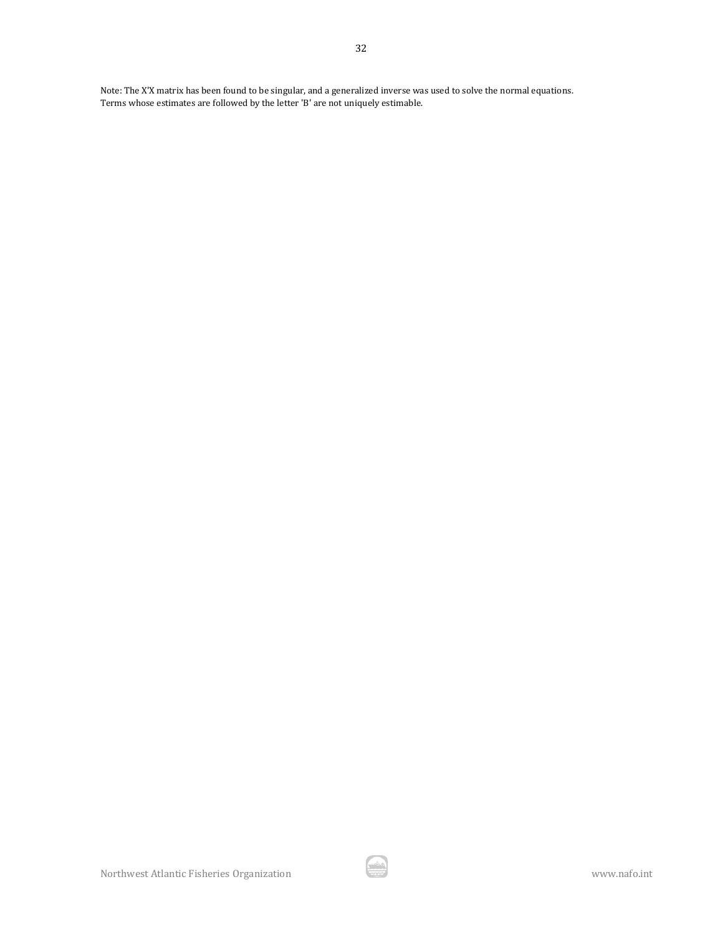Note: The X'X matrix has been found to be singular, and a generalized inverse was used to solve the normal equations. Terms whose estimates are followed by the letter 'B' are not uniquely estimable.

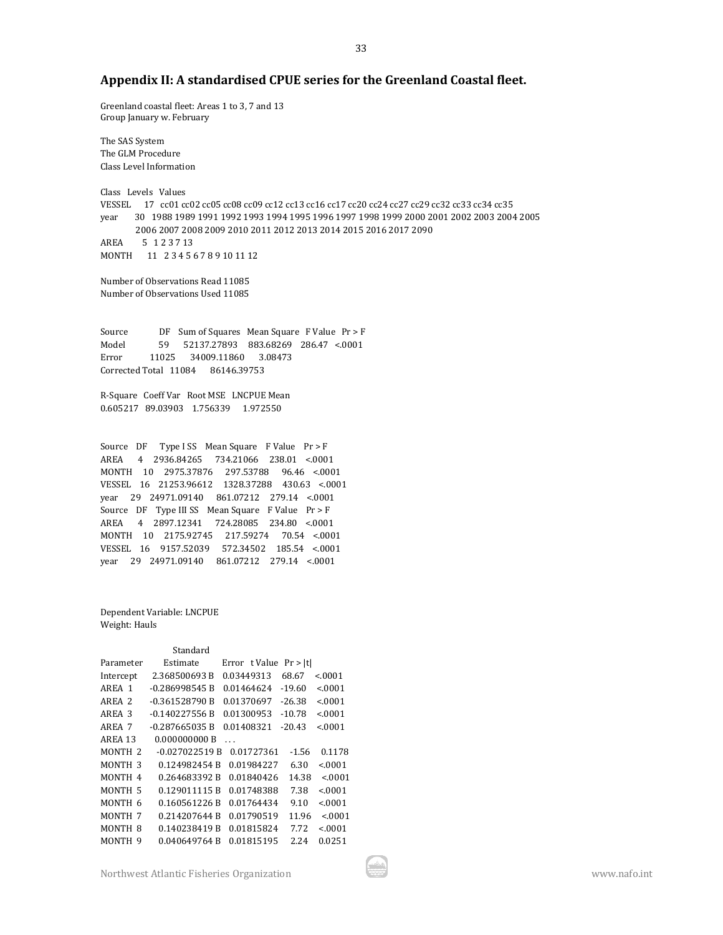# **Appendix II: A standardised CPUE series for the Greenland Coastal fleet.**

Greenland coastal fleet: Areas 1 to 3, 7 and 13 Group January w. February

The SAS System The GLM Procedure Class Level Information

Class Levels Values VESSEL 17 cc01 cc02 cc05 cc08 cc09 cc12 cc13 cc16 cc17 cc20 cc24 cc27 cc29 cc32 cc33 cc34 cc35 year 30 1988 1989 1991 1992 1993 1994 1995 1996 1997 1998 1999 2000 2001 2002 2003 2004 2005 2006 2007 2008 2009 2010 2011 2012 2013 2014 2015 2016 2017 2090 AREA 5 1 2 3 7 13 MONTH 11 2 3 4 5 6 7 8 9 10 11 12

Number of Observations Read 11085 Number of Observations Used 11085

Source DF Sum of Squares Mean Square F Value Pr > F Model 59 52137.27893 883.68269 286.47 <.0001 Error 11025 34009.11860 3.08473 Corrected Total 11084 86146.39753

R-Square Coeff Var Root MSE LNCPUE Mean 0.605217 89.03903 1.756339 1.972550

Source DF Type I SS Mean Square F Value Pr > F AREA 4 2936.84265 734.21066 238.01 <.0001 MONTH 10 2975.37876 297.53788 96.46 <.0001 VESSEL 16 21253.96612 1328.37288 430.63 <.0001 year 29 24971.09140 861.07212 279.14 <.0001 Source DF Type III SS Mean Square F Value Pr > F AREA 4 2897.12341 724.28085 234.80 <.0001 MONTH 10 2175.92745 217.59274 70.54 <.0001 VESSEL 16 9157.52039 572.34502 185.54 <.0001 year 29 24971.09140 861.07212 279.14 <.0001

Dependent Variable: LNCPUE Weight: Hauls

|                    | Standard        |               |          |         |
|--------------------|-----------------|---------------|----------|---------|
| Parameter          | Estimate        | Error t Value | Pr >  t  |         |
| Intercept          | 2.368500693 B   | 0.03449313    | 68.67    | < 0.001 |
| AREA 1             | -0.286998545 B  | 0.01464624    | $-19.60$ | < 0.001 |
| AREA 2             | -0.361528790 B  | 0.01370697    | $-26.38$ | < 0.001 |
| AREA 3             | -0.140227556 B  | 0.01300953    | $-10.78$ | < 0.001 |
| AREA 7             | -0.287665035 B  | 0.01408321    | $-20.43$ | < 0.001 |
| AREA 13            | 0.000000000 B   | $\ddotsc$     |          |         |
| MONTH <sub>2</sub> | $-0.027022519B$ | 0.01727361    | $-1.56$  | 0.1178  |
| MONTH 3            | 0.124982454 B   | 0.01984227    | 6.30     | < 0.001 |
| MONTH <sub>4</sub> | 0.264683392 B   | 0.01840426    | 14.38    | < 0001  |
| MONTH <sub>5</sub> | 0.129011115 B   | 0.01748388    | 7.38     | < 0.001 |
| MONTH 6            | 0.160561226 B   | 0.01764434    | 9.10     | < 0.001 |
| MONTH <sub>7</sub> | 0.214207644 B   | 0.01790519    | 11.96    | < 0.001 |
| MONTH <sub>8</sub> | 0.140238419 B   | 0.01815824    | 7.72     | < 0.001 |
| MONTH 9            | 0.040649764 B   | 0.01815195    | 2.24     | 0.0251  |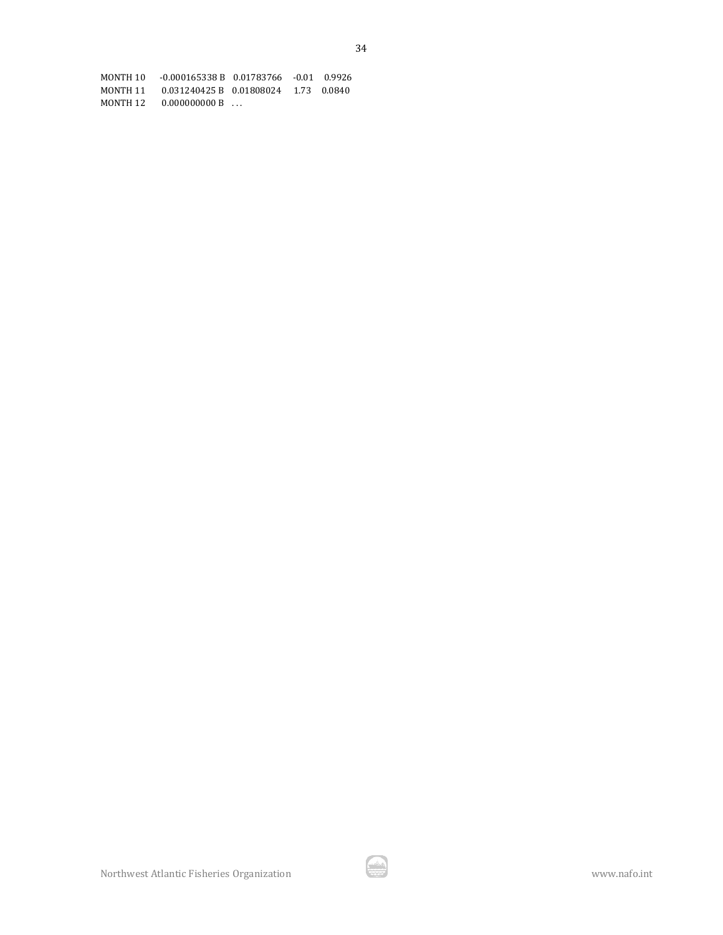MONTH 10 -0.000165338 B 0.01783766 -0.01 0.9926 MONTH 11 0.031240425 B 0.01808024 1.73 0.0840  $MONTH 12 0.000000000B ...$ 

Northwest Atlantic Fisheries Organization www.nafo.int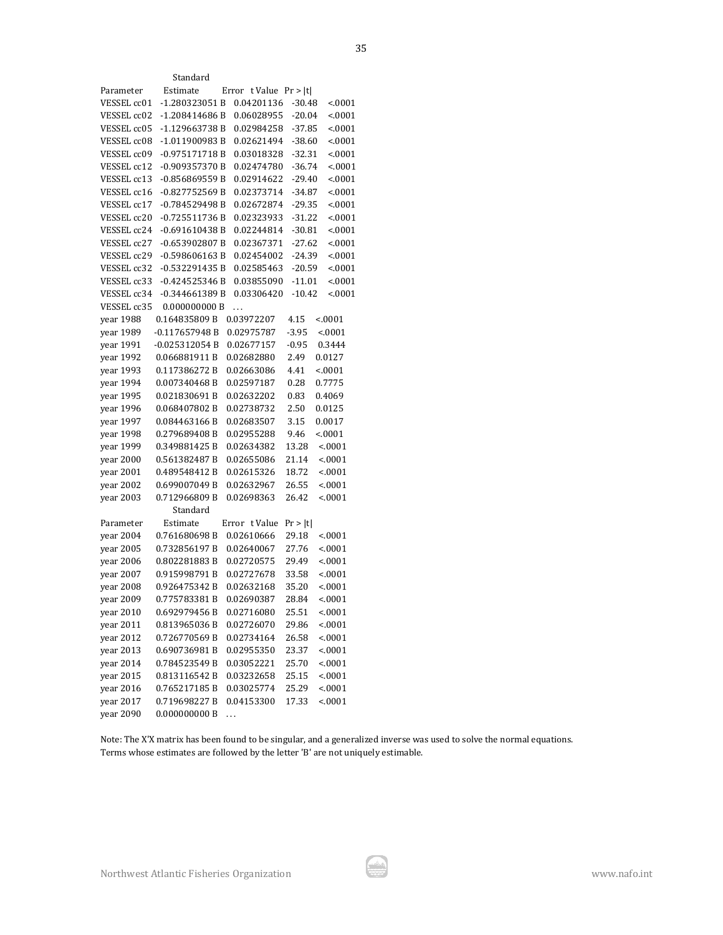| Northwest Atlantic Fisheries Organization |  |  |
|-------------------------------------------|--|--|
|-------------------------------------------|--|--|

|             | Standard        |   |               |          |         |
|-------------|-----------------|---|---------------|----------|---------|
| Parameter   | Estimate        |   | Error t Value | Pr >  t  |         |
| VESSEL cc01 | -1.280323051B   |   | 0.04201136    | $-30.48$ | < 0001  |
| VESSEL cc02 | -1.208414686B   |   | 0.06028955    | $-20.04$ | < 0001  |
| VESSEL cc05 | -1.129663738 B  |   | 0.02984258    | $-37.85$ | < 0001  |
| VESSEL cc08 | -1.011900983B   |   | 0.02621494    | $-38.60$ | < 0001  |
| VESSEL cc09 | $-0.975171718B$ |   | 0.03018328    | $-32.31$ | < .0001 |
| VESSEL cc12 | -0.909357370 B  |   | 0.02474780    | $-36.74$ | < .0001 |
| VESSEL cc13 | -0.856869559B   |   | 0.02914622    | $-29.40$ | < .0001 |
| VESSEL cc16 | $-0.827752569B$ |   | 0.02373714    | -34.87   | < .0001 |
| VESSEL cc17 | -0.784529498B   |   | 0.02672874    | -29.35   | < 0001  |
| VESSEL cc20 | $-0.725511736B$ |   | 0.02323933    | $-31.22$ | < .0001 |
| VESSEL cc24 | $-0.691610438B$ |   | 0.02244814    | $-30.81$ | < .0001 |
| VESSEL cc27 | $-0.653902807B$ |   | 0.02367371    | $-27.62$ | < .0001 |
| VESSEL cc29 | $-0.598606163B$ |   | 0.02454002    | $-24.39$ | < .0001 |
| VESSEL cc32 | -0.532291435B   |   | 0.02585463    | $-20.59$ | < 0001  |
| VESSEL cc33 | $-0.424525346B$ |   | 0.03855090    | $-11.01$ | < .0001 |
| VESSEL cc34 | -0.344661389 B  |   | 0.03306420    | $-10.42$ | < .0001 |
| VESSEL cc35 | 0.000000000 B   | . |               |          |         |
| year 1988   | 0.164835809B    |   | 0.03972207    | 4.15     | < 0001  |
| year 1989   | -0.117657948 B  |   | 0.02975787    | $-3.95$  | < 0001  |
| year 1991   | $-0.025312054B$ |   | 0.02677157    | $-0.95$  | 0.3444  |
| year 1992   | 0.066881911B    |   | 0.02682880    | 2.49     | 0.0127  |
| year 1993   | 0.117386272 B   |   | 0.02663086    | 4.41     | < .0001 |
| year 1994   | 0.007340468B    |   | 0.02597187    | 0.28     | 0.7775  |
| vear 1995   | 0.021830691B    |   | 0.02632202    | 0.83     | 0.4069  |
| year 1996   | 0.068407802B    |   | 0.02738732    | 2.50     | 0.0125  |
| year 1997   | 0.084463166B    |   | 0.02683507    | 3.15     | 0.0017  |
| year 1998   | 0.279689408B    |   | 0.02955288    | 9.46     | < 0001  |
| year 1999   | 0.349881425 B   |   | 0.02634382    | 13.28    | < 0001  |
| year 2000   | 0.561382487 B   |   | 0.02655086    | 21.14    | < 0001  |
| year 2001   | 0.489548412B    |   | 0.02615326    | 18.72    | < 0001  |
| year 2002   | 0.699007049 B   |   | 0.02632967    | 26.55    | < 0001  |
| year 2003   | 0.712966809B    |   | 0.02698363    | 26.42    | < 0001  |
|             | Standard        |   |               |          |         |
| Parameter   | Estimate        |   | Error t Value | Pr >  t  |         |
| year 2004   | 0.761680698B    |   | 0.02610666    | 29.18    | < 0001  |
| year 2005   | 0.732856197B    |   | 0.02640067    | 27.76    | < .0001 |
| year 2006   | 0.802281883 B   |   | 0.02720575    | 29.49    | < 0001  |
| year 2007   | 0.915998791B    |   | 0.02727678    | 33.58    | < 0001  |
| year 2008   | 0.926475342 B   |   | 0.02632168    | 35.20    | < 0001  |
| year 2009   | 0.775783381 B   |   | 0.02690387    | 28.84    | < .0001 |
| year 2010   | 0.692979456B    |   | 0.02716080    | 25.51    | < 0001  |
| year 2011   | 0.813965036 B   |   | 0.02726070    | 29.86    | < 0001  |
| year 2012   | 0.726770569 B   |   | 0.02734164    | 26.58    | < 0001  |
| year 2013   | 0.690736981B    |   | 0.02955350    | 23.37    | < 0001  |
| year 2014   | 0.784523549 B   |   | 0.03052221    | 25.70    | < 0001  |
| year 2015   | 0.813116542 B   |   | 0.03232658    | 25.15    | < 0001  |
| year 2016   | 0.765217185B    |   | 0.03025774    | 25.29    | < 0001  |
| year 2017   | 0.719698227B    |   | 0.04153300    | 17.33    | < 0001  |
| vear 2090   | 0.000000000B    | . |               |          |         |

Note: The X'X matrix has been found to be singular, and a generalized inverse was used to solve the normal equations. Terms whose estimates are followed by the letter 'B' are not uniquely estimable.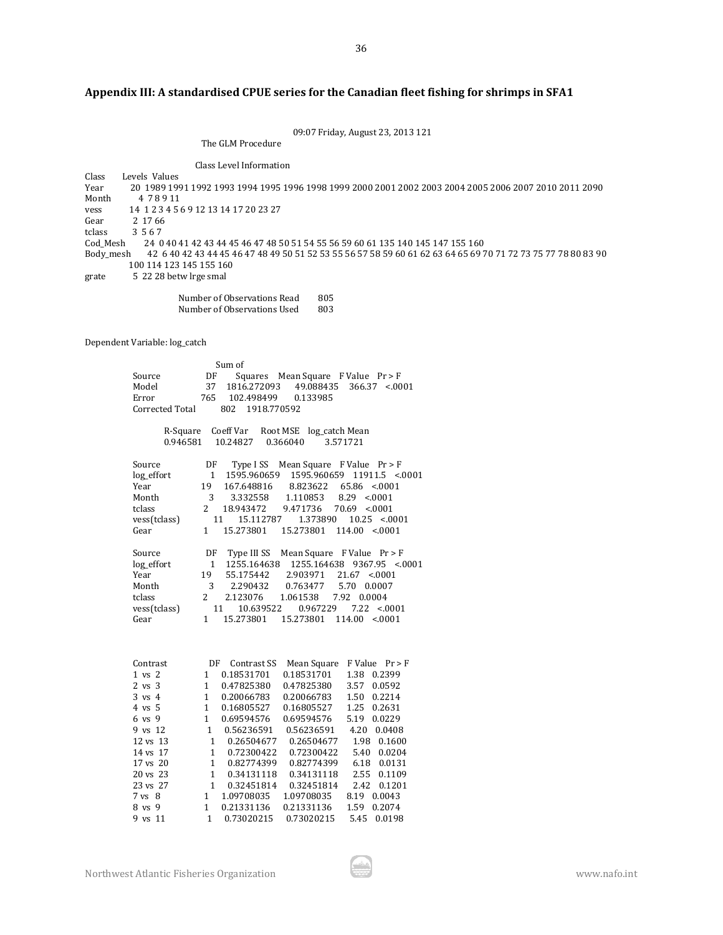# **Appendix III: A standardised CPUE series for the Canadian fleet fishing for shrimps in SFA1**

09:07 Friday, August 23, 2013 121

36

The GLM Procedure

Class Level Information<br>
Class Levels Values Class Levels Values<br>Year 20 1989 199 Year 20 1989 1991 1992 1993 1994 1995 1996 1998 1999 2000 2001 2002 2003 2004 2005 2006 2007 2010 2011 2090 Month 4 7 8 9 11 vess 14 1 2 3 4 5 6 9 12 13 14 17 20 23 27 Gear 2 17 66<br>tclass 3 5 6 7 3 5 6 7 Cod\_Mesh 24 0 40 41 42 43 44 45 46 47 48 50 51 54 55 56 59 60 61 135 140 145 147 155 160 Body\_mesh 42 6 40 42 43 44 45 46 47 48 49 50 51 52 53 55 56 57 58 59 60 61 62 63 64 65 69 70 71 72 73 75 77 78 80 83 90 100 114 123 145 155 160 grate 5 22 28 betw lrge smal

Number of Observations Read 805<br>Number of Observations Used 803 Number of Observations Used

Dependent Variable: log\_catch

|                   |                | Sum of                  |                                             |                                           |
|-------------------|----------------|-------------------------|---------------------------------------------|-------------------------------------------|
| Source            | DF             | Squares                 | Mean Square $F$ Value $Pr > F$              |                                           |
| Model             | 37             | 1816.272093             | 49.088435                                   | 366.37<br>< 0.001                         |
| Error             | 765            | 102.498499              | 0.133985                                    |                                           |
| Corrected Total   |                | 802<br>1918.770592      |                                             |                                           |
|                   |                |                         |                                             |                                           |
| R-Square          |                |                         | Coeff Var Root MSE log_catch Mean           |                                           |
| 0.946581          |                | 10.24827                | 0.366040                                    | 3.571721                                  |
|                   |                |                         |                                             |                                           |
| Source            |                | $DF$ Type ISS           | Mean Square $F$ Value $Pr > F$              |                                           |
| log_effort        | $\mathbf{1}$   | 1595.960659             | 1595.960659                                 | $11911.5$ <.0001                          |
| Year              | 19             | 167.648816              | 8.823622                                    | $65.86 \le 0.001$                         |
| Month             | 3              | 3.332558                | 1.110853                                    | $8.29$ <.0001                             |
| tclass            | $\overline{2}$ | 18.943472               | 9.471736                                    | $70.69$ < 0001                            |
| vess(tclass)      |                | 11<br>15.112787         | 1.373890                                    | $10.25 \le 0001$                          |
| Gear              | $\mathbf{1}$   | 15.273801               | 15.273801                                   | $114.00$ < 0001                           |
|                   |                |                         |                                             |                                           |
| Source            |                |                         | DF Type III SS Mean Square F Value $Pr > F$ |                                           |
| log_effort        | $\mathbf{1}$   |                         |                                             | 1255.164638  1255.164638  9367.95  <.0001 |
| Year              | 19             | 55.175442               | 2.903971                                    | $21.67$ < 0001                            |
| Month             | 3              | 2.290432                | 0.763477                                    | 5.70 0.0007                               |
| tclass            | $\mathbf{2}$   | 2.123076                | 1.061538<br>7.92                            | 0.0004                                    |
| vess(tclass)      |                | 11<br>10.639522         | 0.967229                                    | 7.22<br>< 0.001                           |
| Gear              | $\mathbf{1}$   | 15.273801               | 15.273801                                   | $114.00 \le 0001$                         |
|                   |                |                         |                                             |                                           |
|                   |                |                         |                                             |                                           |
|                   |                |                         |                                             |                                           |
| Contrast          |                | DF Contrast SS          | Mean Square                                 | $F$ Value $Pr > F$                        |
| $1$ vs $2$        | 1              | 0.18531701              | 0.18531701                                  | 1.38 0.2399                               |
| $2 \text{ vs } 3$ | 1              | 0.47825380              | 0.47825380                                  | 3.57<br>0.0592                            |
| 3 vs 4            | 1              | 0.20066783              | 0.20066783                                  | 0.2214<br>1.50                            |
| 4 vs 5            | 1              | 0.16805527              | 0.16805527                                  | 1.25<br>0.2631                            |
| 6 vs 9            | $\mathbf{1}$   | 0.69594576              | 0.69594576                                  | 5.19 0.0229                               |
| 9 vs 12           |                | 1 0.56236591 0.56236591 |                                             | 4.20 0.0408                               |
| 12 vs 13          | $\mathbf{1}$   | 0.26504677   0.26504677 |                                             | 1.98 0.1600                               |
| 14 vs 17          | $\mathbf{1}$   | 0.72300422              | 0.72300422                                  | 5.40 0.0204                               |
| 17 vs 20          | $\mathbf{1}$   | 0.82774399              | 0.82774399                                  | 6.18 0.0131                               |
| 20 vs 23          | $\mathbf{1}$   | 0.34131118              | 0.34131118                                  | 2.55 0.1109                               |
| 23 vs 27          | $\mathbf{1}$   | 0.32451814              | 0.32451814                                  | 2.42 0.1201                               |
| $7 \text{ vs } 8$ | $\mathbf{1}$   | 1.09708035              | 1.09708035                                  | 8.19 0.0043                               |
| 8 vs 9            | $\mathbf{1}$   | 0.21331136              | 0.21331136                                  | 1.59<br>0.2074                            |
| 9 vs 11           | $\mathbf{1}$   | 0.73020215              | 0.73020215                                  | 5.45<br>0.0198                            |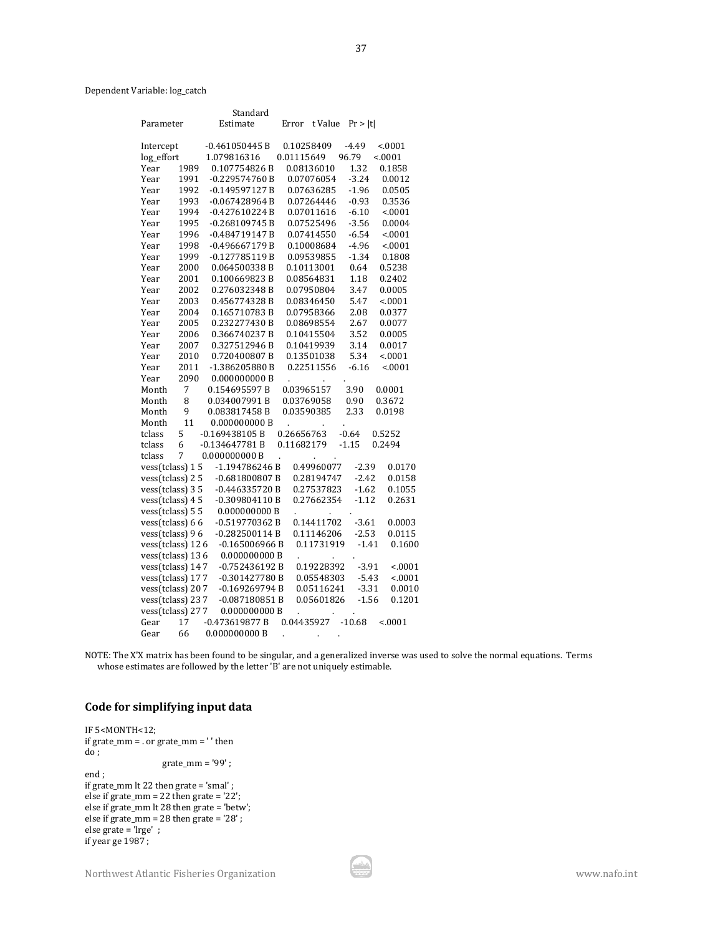Dependent Variable: log\_catch

|                   |                | Standard         |        |                      |                   |         |         |
|-------------------|----------------|------------------|--------|----------------------|-------------------|---------|---------|
| Parameter         |                | Estimate         |        | Error                | t Value           | Pr >  t |         |
| Intercept         |                | -0.461050445 B   |        | 0.10258409           |                   | $-4.49$ | < 0001  |
| log_effort        |                | 1.079816316      |        | 0.01115649           |                   | 96.79   | < .0001 |
| Year              | 1989           | 0.107754826 B    |        | 0.08136010           |                   | 1.32    | 0.1858  |
| Year              | 1991           | $-0.229574760B$  |        | 0.07076054           |                   | $-3.24$ | 0.0012  |
| Year              | 1992           | $-0.149597127B$  |        | 0.07636285           |                   | $-1.96$ | 0.0505  |
| Year              | 1993           | $-0.067428964B$  |        | 0.07264446           |                   | $-0.93$ | 0.3536  |
| Year              | 1994           | $-0.427610224B$  |        | 0.07011616           |                   | $-6.10$ | < .0001 |
| Year              | 1995           | $-0.268109745B$  |        | 0.07525496           |                   | $-3.56$ | 0.0004  |
| Year              | 1996           | $-0.484719147B$  |        | 0.07414550           |                   | $-6.54$ | < .0001 |
| Year              | 1998           | $-0.496667179B$  |        | 0.10008684           |                   | $-4.96$ | < .0001 |
| Year              | 1999           | $-0.127785119B$  |        | 0.09539855           |                   | $-1.34$ | 0.1808  |
| Year              | 2000           | 0.064500338 B    |        | 0.10113001           |                   | 0.64    | 0.5238  |
| Year              | 2001           | 0.100669823B     |        | 0.08564831           |                   | 1.18    | 0.2402  |
| Year              | 2002           | 0.276032348 B    |        | 0.07950804           |                   | 3.47    | 0.0005  |
| Year              | 2003           | 0.456774328 B    |        | 0.08346450           |                   | 5.47    | < .0001 |
| Year              | 2004           | 0.165710783B     |        | 0.07958366           |                   | 2.08    | 0.0377  |
| Year              | 2005           | 0.232277430 B    |        | 0.08698554           |                   | 2.67    | 0.0077  |
| Year              | 2006           | 0.366740237 B    |        | 0.10415504           |                   | 3.52    | 0.0005  |
| Year              | 2007           | 0.327512946 B    |        | 0.10419939           |                   | 3.14    | 0.0017  |
| Year              | 2010           | 0.720400807B     |        | 0.13501038           |                   | 5.34    | < 0001  |
| Year              | 2011           | -1.386205880 B   |        | 0.22511556           |                   | $-6.16$ | < .0001 |
| Year              | 2090           | 0.000000000B     |        | $\ddot{\phantom{0}}$ |                   |         |         |
| Month             | $\overline{7}$ | 0.154695597 B    |        | 0.03965157           |                   | 3.90    | 0.0001  |
| Month             | 8              | 0.034007991B     |        | 0.03769058           |                   | 0.90    | 0.3672  |
| Month             | 9              | 0.083817458 B    |        | 0.03590385           |                   | 2.33    | 0.0198  |
| Month             | 11             | 0.000000000B     |        |                      |                   |         |         |
| tclass            | 5              | $-0.169438105 B$ |        | 0.26656763           |                   | $-0.64$ | 0.5252  |
| tclass            | 6              | $-0.134647781B$  |        | 0.11682179           |                   | $-1.15$ | 0.2494  |
| tclass            | 7              | 0.000000000B     | l,     |                      |                   |         |         |
| vess(tclass) 15   |                | -1.194786246 B   |        |                      | 0.49960077        | $-2.39$ | 0.0170  |
| vess(tclass) 25   |                | $-0.681800807B$  |        |                      | 0.28194747        | $-2.42$ | 0.0158  |
| $vess(tclass)$ 35 |                | -0.446335720 B   |        |                      | 0.27537823        | $-1.62$ | 0.1055  |
| $vess(tclass)$ 45 |                | $-0.309804110B$  |        |                      | 0.27662354        | $-1.12$ | 0.2631  |
| vess(tclass) 5 5  |                | 0.000000000B     |        |                      |                   |         |         |
| vess(tclass) 66   |                | -0.519770362 B   |        |                      | 0.14411702        | $-3.61$ | 0.0003  |
| vess(tclass) 96   |                | -0.282500114 B   |        |                      | 0.11146206        | $-2.53$ | 0.0115  |
| vess(tclass) 126  |                | $-0.165006966B$  |        |                      | 0.11731919        | $-1.41$ | 0.1600  |
| vess(tclass) 136  |                | 0.000000000B     |        | l,                   |                   |         |         |
| vess(tclass) 147  |                | $-0.752436192B$  |        |                      | 0.19228392        | $-3.91$ | < 0001  |
| vess(tclass) 177  |                | -0.301427780 B   |        |                      | 0.05548303        | $-5.43$ | < 0001  |
| vess(tclass) 207  |                | $-0.169269794 B$ |        |                      | 0.05116241        | $-3.31$ | 0.0010  |
| vess(tclass) 237  |                | -0.087180851 B   |        |                      | 0.05601826        | $-1.56$ | 0.1201  |
| vess(tclass) 277  |                | 0.000000000B     |        |                      |                   |         |         |
| Gear              | 17             | $-0.473619877B$  |        |                      | 0.04435927 -10.68 |         | < 0001  |
| Gear              | 66             | 0.000000000B     | $\sim$ |                      |                   |         |         |

NOTE: The X'X matrix has been found to be singular, and a generalized inverse was used to solve the normal equations. Terms whose estimates are followed by the letter 'B' are not uniquely estimable.

# **Code for simplifying input data**

IF 5<MONTH<12; if grate\_mm = . or grate\_mm = ' ' then  $\overline{d\overline{o}}$ ; grate\_mm = '99' ; end ; if grate\_mm lt 22 then grate = 'smal' ; else if grate\_mm = 22 then grate =  $22$ ; else if grate\_mm lt 28 then grate = 'betw'; else if grate\_mm = 28 then grate = '28' ; else grate = 'lrge' ; if year ge 1987 ;